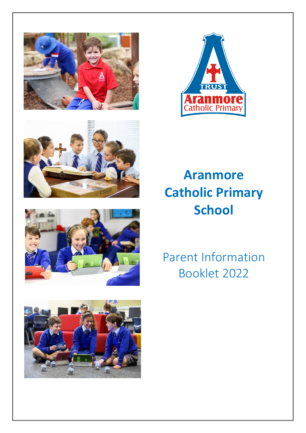









# **Aranmore Catholic Primary School**

# Parent Information Booklet 2022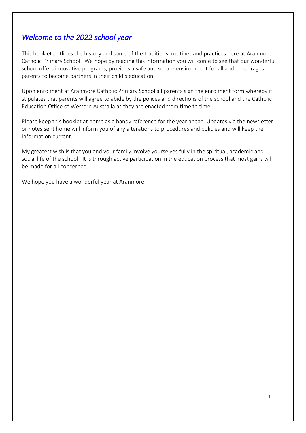# *Welcome to the 2022 school year*

This booklet outlines the history and some of the traditions, routines and practices here at Aranmore Catholic Primary School. We hope by reading this information you will come to see that our wonderful school offers innovative programs, provides a safe and secure environment for all and encourages parents to become partners in their child's education.

Upon enrolment at Aranmore Catholic Primary School all parents sign the enrolment form whereby it stipulates that parents will agree to abide by the polices and directions of the school and the Catholic Education Office of Western Australia as they are enacted from time to time.

Please keep this booklet at home as a handy reference for the year ahead. Updates via the newsletter or notes sent home will inform you of any alterations to procedures and policies and will keep the information current.

My greatest wish is that you and your family involve yourselves fully in the spiritual, academic and social life of the school. It is through active participation in the education process that most gains will be made for all concerned.

We hope you have a wonderful year at Aranmore.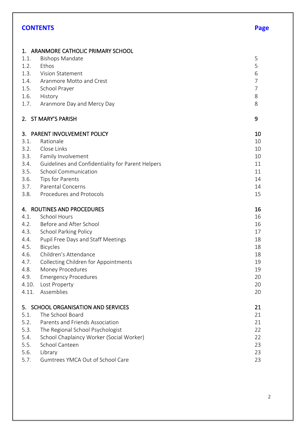# **CONTENTS Page**

|       | 1. ARANMORE CATHOLIC PRIMARY SCHOOL               |                |
|-------|---------------------------------------------------|----------------|
| 1.1.  | <b>Bishops Mandate</b>                            | 5              |
| 1.2.  | Ethos                                             | 5              |
| 1.3.  | Vision Statement                                  | 6              |
| 1.4.  | Aranmore Motto and Crest                          | $\overline{7}$ |
| 1.5.  | School Prayer                                     | 7              |
| 1.6.  | History                                           | 8              |
| 1.7.  | Aranmore Day and Mercy Day                        | 8              |
|       | 2. ST MARY'S PARISH                               | 9              |
|       | 3. PARENT INVOLVEMENT POLICY                      | 10             |
| 3.1.  | Rationale                                         | 10             |
| 3.2.  | Close Links                                       | 10             |
| 3.3.  | Family Involvement                                | 10             |
| 3.4.  | Guidelines and Confidentiality for Parent Helpers | 11             |
| 3.5.  | <b>School Communication</b>                       | 11             |
| 3.6.  | Tips for Parents                                  | 14             |
| 3.7.  | <b>Parental Concerns</b>                          | 14             |
| 3.8.  | Procedures and Protocols                          | 15             |
| 4.    | ROUTINES AND PROCEDURES                           | 16             |
| 4.1.  | <b>School Hours</b>                               | 16             |
| 4.2.  | Before and After School                           | 16             |
| 4.3.  | <b>School Parking Policy</b>                      | 17             |
| 4.4.  | Pupil Free Days and Staff Meetings                | 18             |
| 4.5.  | <b>Bicycles</b>                                   | 18             |
| 4.6.  | Children's Attendance                             | 18             |
| 4.7.  | Collecting Children for Appointments              | 19             |
| 4.8.  | Money Procedures                                  | 19             |
| 4.9.  | <b>Emergency Procedures</b>                       | 20             |
| 4.10. | Lost Property                                     | 20             |
| 4.11. | Assemblies                                        | 20             |
|       | 5. SCHOOL ORGANISATION AND SERVICES               | 21             |
| 5.1.  | The School Board                                  | 21             |
| 5.2.  | Parents and Friends Association                   | 21             |
| 5.3.  | The Regional School Psychologist                  | 22             |
| 5.4.  | School Chaplaincy Worker (Social Worker)          | 22             |
| 5.5.  | School Canteen                                    | 23             |
| 5.6.  | Library                                           | 23             |
| 5.7.  | Gumtrees YMCA Out of School Care                  | 23             |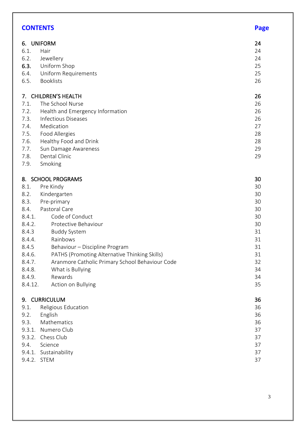| <b>CONTENTS</b> |                                                 | <b>Page</b> |
|-----------------|-------------------------------------------------|-------------|
|                 | 6. UNIFORM                                      | 24          |
| 6.1.            | Hair                                            | 24          |
| 6.2.            | Jewellery                                       | 24          |
| 6.3.            | Uniform Shop                                    | 25          |
| 6.4.            | Uniform Requirements                            | 25          |
| 6.5.            | <b>Booklists</b>                                | 26          |
| 7.              | <b>CHILDREN'S HEALTH</b>                        | 26          |
| 7.1.            | The School Nurse                                | 26          |
| 7.2.            | Health and Emergency Information                | 26          |
| 7.3.            | <b>Infectious Diseases</b>                      | 26          |
| 7.4.            | Medication                                      | 27          |
| 7.5.            | Food Allergies                                  | 28          |
| 7.6.            | Healthy Food and Drink                          | 28          |
| 7.7.            | Sun Damage Awareness                            | 29          |
| 7.8.            | Dental Clinic                                   | 29          |
| 7.9.            | Smoking                                         |             |
|                 | 8. SCHOOL PROGRAMS                              | 30          |
| 8.1.            | Pre Kindy                                       | 30          |
| 8.2.            | Kindergarten                                    | 30          |
| 8.3.            | Pre-primary                                     | 30          |
| 8.4.            | Pastoral Care                                   | 30          |
| 8.4.1.          | Code of Conduct                                 | 30          |
| 8.4.2.          | Protective Behaviour                            | 30          |
| 8.4.3           | <b>Buddy System</b>                             | 31          |
| 8.4.4.          | Rainbows                                        | 31          |
| 8.4.5           | Behaviour - Discipline Program                  | 31          |
| 8.4.6.          | PATHS (Promoting Alternative Thinking Skills)   | 31          |
| 8.4.7.          | Aranmore Catholic Primary School Behaviour Code | 32          |
| 8.4.8.          | What is Bullying                                | 34          |
| 8.4.9.          | Rewards                                         | 34          |
| 8.4.12.         | Action on Bullying                              | 35          |
|                 | 9. CURRICULUM                                   | 36          |
| 9.1.            | Religious Education                             | 36          |
| 9.2.            | English                                         | 36          |
| 9.3.            | Mathematics                                     | 36          |
| 9.3.1.          | Numero Club                                     | 37          |
| 9.3.2.          | Chess Club                                      | 37          |
| 9.4.            | Science                                         | 37          |
| 9.4.1.          | Sustainability                                  | 37          |
| 9.4.2. STEM     |                                                 | 37          |

#### 3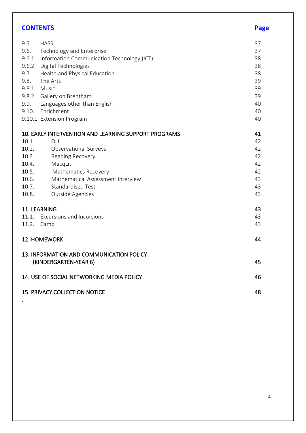| <b>CONTENTS</b> |                                                                   | Page |
|-----------------|-------------------------------------------------------------------|------|
| 9.5.            | <b>HASS</b>                                                       | 37   |
| 9.6.            | Technology and Enterprise                                         | 37   |
| 9.6.1.          | Information Communication Technology (ICT)                        | 38   |
| 9.6.2.          | Digital Technologies                                              | 38   |
| 9.7.            | Health and Physical Education                                     | 38   |
| 9.8.            | The Arts                                                          | 39   |
|                 | 9.8.1. Music                                                      | 39   |
|                 | 9.8.2. Gallery on Brentham                                        | 39   |
| 9.9.            | Languages other than English                                      | 40   |
| 9.10.           | Enrichment                                                        | 40   |
|                 | 9.10.1. Extension Program                                         | 40   |
|                 | 10. EARLY INTERVENTION AND LEARNING SUPPORT PROGRAMS              | 41   |
| 10.1            | OLI                                                               | 42   |
| 10.2.           | Observational Surveys                                             | 42   |
| 10.3.           | Reading Recovery                                                  | 42   |
| 10.4.           | MacqLit                                                           | 42   |
| 10.5.           | <b>Mathematics Recovery</b>                                       | 42   |
| 10.6.           | Mathematical Assessment Interview                                 | 43   |
| 10.7.           | <b>Standardised Test</b>                                          | 43   |
| 10.8.           | Outside Agencies                                                  | 43   |
|                 | 11. LEARNING                                                      | 43   |
| 11.1.           | <b>Excursions and Incursions</b>                                  | 43   |
| 11.2.           | Camp                                                              | 43   |
|                 | 12. HOMEWORK                                                      | 44   |
|                 | 13. INFORMATION AND COMMUNICATION POLICY<br>(KINDERGARTEN-YEAR 6) | 45   |
|                 | 14. USE OF SOCIAL NETWORKING MEDIA POLICY                         | 46   |
|                 | <b>15. PRIVACY COLLECTION NOTICE</b>                              | 48   |
|                 |                                                                   |      |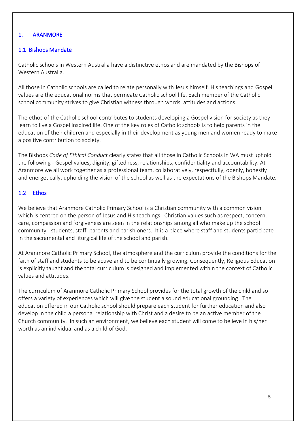# 1. ARANMORE

### 1.1 Bishops Mandate

Catholic schools in Western Australia have a distinctive ethos and are mandated by the Bishops of Western Australia.

All those in Catholic schools are called to relate personally with Jesus himself. His teachings and Gospel values are the educational norms that permeate Catholic school life. Each member of the Catholic school community strives to give Christian witness through words, attitudes and actions.

The ethos of the Catholic school contributes to students developing a Gospel vision for society as they learn to live a Gospel inspired life. One of the key roles of Catholic schools is to help parents in the education of their children and especially in their development as young men and women ready to make a positive contribution to society.

The Bishops *Code of Ethical Conduct* clearly states that all those in Catholic Schools in WA must uphold the following - Gospel values, dignity, giftedness, relationships, confidentiality and accountability. At Aranmore we all work together as a professional team, collaboratively, respectfully, openly, honestly and energetically, upholding the vision of the school as well as the expectations of the Bishops Mandate.

# 1.2 Ethos

We believe that Aranmore Catholic Primary School is a Christian community with a common vision which is centred on the person of Jesus and His teachings. Christian values such as respect, concern, care, compassion and forgiveness are seen in the relationships among all who make up the school community - students, staff, parents and parishioners. It is a place where staff and students participate in the sacramental and liturgical life of the school and parish.

At Aranmore Catholic Primary School, the atmosphere and the curriculum provide the conditions for the faith of staff and students to be active and to be continually growing. Consequently, Religious Education is explicitly taught and the total curriculum is designed and implemented within the context of Catholic values and attitudes.

The curriculum of Aranmore Catholic Primary School provides for the total growth of the child and so offers a variety of experiences which will give the student a sound educational grounding. The education offered in our Catholic school should prepare each student for further education and also develop in the child a personal relationship with Christ and a desire to be an active member of the Church community. In such an environment, we believe each student will come to believe in his/her worth as an individual and as a child of God.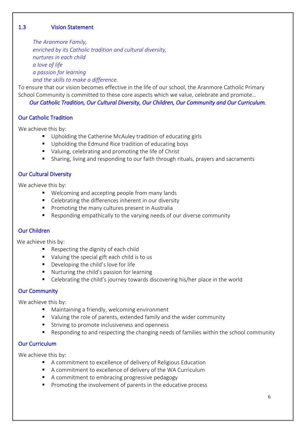# 1.3 Vision Statement

*The Aranmore Family, enriched by its Catholic tradition and cultural diversity, nurtures in each child a love of life a passion for learning and the skills to make a difference.*

To ensure that our vision becomes effective in the life of our school, the Aranmore Catholic Primary School Community is committed to these core aspects which we value, celebrate and promote…

*Our Catholic Tradition, Our Cultural Diversity, Our Children, Our Community and Our Curriculum.*

# Our Catholic Tradition

We achieve this by:

- Upholding the Catherine McAuley tradition of educating girls
- Upholding the Edmund Rice tradition of educating boys
- Valuing, celebrating and promoting the life of Christ
- Sharing, living and responding to our faith through rituals, prayers and sacraments

#### Our Cultural Diversity

We achieve this by:

- Welcoming and accepting people from many lands
- Celebrating the differences inherent in our diversity
- Promoting the many cultures present in Australia
- Responding empathically to the varying needs of our diverse community

#### Our Children

We achieve this by:

- Respecting the dignity of each child
- Valuing the special gift each child is to us
- Developing the child's love for life
- Nurturing the child's passion for learning
- Celebrating the child's journey towards discovering his/her place in the world

#### Our Community

We achieve this by:

- Maintaining a friendly, welcoming environment
- Valuing the role of parents, extended family and the wider community
- Striving to promote inclusiveness and openness
- Responding to and respecting the changing needs of families within the school community

#### Our Curriculum

We achieve this by:

- A commitment to excellence of delivery of Religious Education
- A commitment to excellence of delivery of the WA Curriculum
- A commitment to embracing progressive pedagogy
- Promoting the involvement of parents in the educative process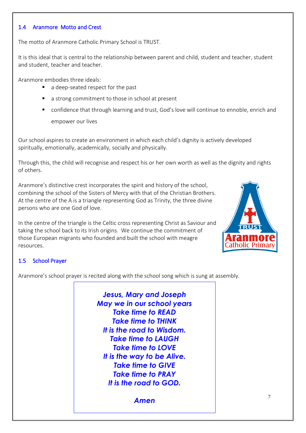#### 1.4 Aranmore Motto and Crest

The motto of Aranmore Catholic Primary School is TRUST.

It is this ideal that is central to the relationship between parent and child, student and teacher, student and student, teacher and teacher.

Aranmore embodies three ideals:

- a deep-seated respect for the past
- a strong commitment to those in school at present
- confidence that through learning and trust, God's love will continue to ennoble, enrich and empower our lives

Our school aspires to create an environment in which each child's dignity is actively developed spiritually, emotionally, academically, socially and physically.

Through this, the child will recognise and respect his or her own worth as well as the dignity and rights of others.

Aranmore's distinctive crest incorporates the spirit and history of the school, combining the school of the Sisters of Mercy with that of the Christian Brothers. At the centre of the A is a triangle representing God as Trinity, the three divine persons who are one God of love.

In the centre of the triangle is the Celtic cross representing Christ as Saviour and taking the school back to its Irish origins. We continue the commitment of those European migrants who founded and built the school with meagre resources.



# 1.5 School Prayer

Aranmore's school prayer is recited along with the school song which is sung at assembly.

*Jesus, Mary and Joseph May we in our school years Take time to READ Take time to THINK It is the road to Wisdom. Take time to LAUGH Take time to LOVE It is the way to be Alive. Take time to GIVE Take time to PRAY It is the road to GOD.*

*Amen*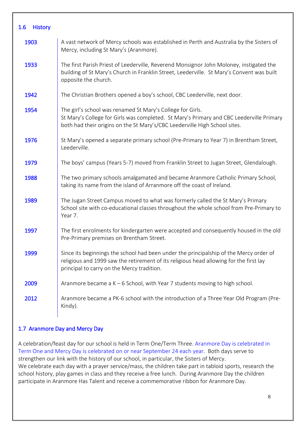| $1.6\,$<br><b>History</b> |                                                                                                                                                                                                                                      |
|---------------------------|--------------------------------------------------------------------------------------------------------------------------------------------------------------------------------------------------------------------------------------|
| 1903                      | A vast network of Mercy schools was established in Perth and Australia by the Sisters of<br>Mercy, including St Mary's (Aranmore).                                                                                                   |
| 1933                      | The first Parish Priest of Leederville, Reverend Monsignor John Moloney, instigated the<br>building of St Mary's Church in Franklin Street, Leederville. St Mary's Convent was built<br>opposite the church.                         |
| 1942                      | The Christian Brothers opened a boy's school, CBC Leederville, next door.                                                                                                                                                            |
| 1954                      | The girl's school was renamed St Mary's College for Girls.<br>St Mary's College for Girls was completed. St Mary's Primary and CBC Leederville Primary<br>both had their origins on the St Mary's/CBC Leederville High School sites. |
| 1976                      | St Mary's opened a separate primary school (Pre-Primary to Year 7) in Brentham Street,<br>Leederville.                                                                                                                               |
| 1979                      | The boys' campus (Years 5-7) moved from Franklin Street to Jugan Street, Glendalough.                                                                                                                                                |
| 1988                      | The two primary schools amalgamated and became Aranmore Catholic Primary School,<br>taking its name from the island of Arranmore off the coast of Ireland.                                                                           |
| 1989                      | The Jugan Street Campus moved to what was formerly called the St Mary's Primary<br>School site with co-educational classes throughout the whole school from Pre-Primary to<br>Year 7.                                                |
| 1997                      | The first enrolments for kindergarten were accepted and consequently housed in the old<br>Pre-Primary premises on Brentham Street.                                                                                                   |
| 1999                      | Since its beginnings the school had been under the principalship of the Mercy order of<br>religious and 1999 saw the retirement of its religious head allowing for the first lay<br>principal to carry on the Mercy tradition.       |
| 2009                      | Aranmore became a $K - 6$ School, with Year 7 students moving to high school.                                                                                                                                                        |
| 2012                      | Aranmore became a PK-6 school with the introduction of a Three Year Old Program (Pre-<br>Kindy).                                                                                                                                     |

# 1.7 Aranmore Day and Mercy Day

A celebration/feast day for our school is held in Term One/Term Three. Aranmore Day is celebrated in Term One and Mercy Day is celebrated on or near September 24 each year. Both days serve to strengthen our link with the history of our school, in particular, the Sisters of Mercy. We celebrate each day with a prayer service/mass, the children take part in tabloid sports, research the school history, play games in class and they receive a free lunch. During Aranmore Day the children participate in Aranmore Has Talent and receive a commemorative ribbon for Aranmore Day.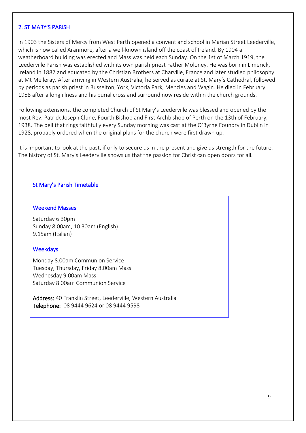#### 2. ST MARY'S PARISH

In 1903 the Sisters of Mercy from West Perth opened a convent and school in Marian Street Leederville, which is now called Aranmore, after a well-known island off the coast of Ireland. By 1904 a weatherboard building was erected and Mass was held each Sunday. On the 1st of March 1919, the Leederville Parish was established with its own parish priest Father Moloney. He was born in Limerick, Ireland in 1882 and educated by the Christian Brothers at Charville, France and later studied philosophy at Mt Melleray. After arriving in Western Australia, he served as curate at St. Mary's Cathedral, followed by periods as parish priest in Busselton, York, Victoria Park, Menzies and Wagin. He died in February 1958 after a long illness and his burial cross and surround now reside within the church grounds.

Following extensions, the completed Church of St Mary's Leederville was blessed and opened by the most Rev. Patrick Joseph Clune, Fourth Bishop and First Archbishop of Perth on the 13th of February, 1938. The bell that rings faithfully every Sunday morning was cast at the O'Byrne Foundry in Dublin in 1928, probably ordered when the original plans for the church were first drawn up.

It is important to look at the past, if only to secure us in the present and give us strength for the future. The history of St. Mary's Leederville shows us that the passion for Christ can open doors for all.

#### St Mary's Parish Timetable

#### Weekend Masses

Saturday 6.30pm Sunday 8.00am, 10.30am (English) 9.15am (Italian)

#### **Weekdays**

Monday 8.00am Communion Service Tuesday, Thursday, Friday 8.00am Mass Wednesday 9.00am Mass Saturday 8.00am Communion Service

Address: 40 Franklin Street, Leederville, Western Australia Telephone: 08 9444 9624 or 08 9444 9598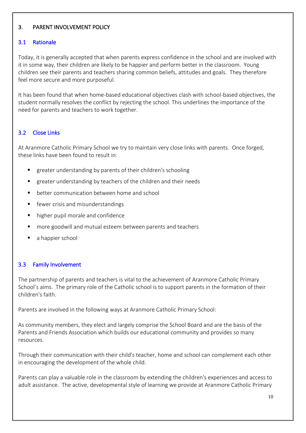# 3. PARENT INVOLVEMENT POLICY

# 3.1 Rationale

Today, it is generally accepted that when parents express confidence in the school and are involved with it in some way, their children are likely to be happier and perform better in the classroom. Young children see their parents and teachers sharing common beliefs, attitudes and goals. They therefore feel more secure and more purposeful.

It has been found that when home-based educational objectives clash with school-based objectives, the student normally resolves the conflict by rejecting the school. This underlines the importance of the need for parents and teachers to work together.

# 3.2 Close Links

At Aranmore Catholic Primary School we try to maintain very close links with parents. Once forged, these links have been found to result in:

- greater understanding by parents of their children's schooling
- greater understanding by teachers of the children and their needs
- better communication between home and school
- fewer crisis and misunderstandings
- higher pupil morale and confidence
- more goodwill and mutual esteem between parents and teachers
- a happier school

# 3.3 Family Involvement

The partnership of parents and teachers is vital to the achievement of Aranmore Catholic Primary School's aims. The primary role of the Catholic school is to support parents in the formation of their children's faith.

Parents are involved in the following ways at Aranmore Catholic Primary School:

As community members, they elect and largely comprise the School Board and are the basis of the Parents and Friends Association which builds our educational community and provides so many resources.

Through their communication with their child's teacher, home and school can complement each other in encouraging the development of the whole child.

Parents can play a valuable role in the classroom by extending the children's experiences and access to adult assistance. The active, developmental style of learning we provide at Aranmore Catholic Primary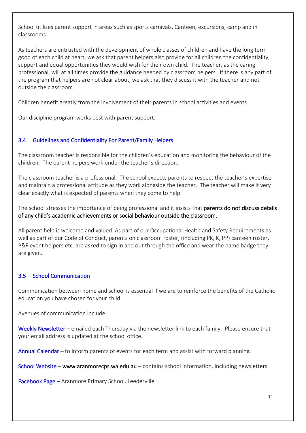School utilises parent support in areas such as sports carnivals, Canteen, excursions, camp and in classrooms.

As teachers are entrusted with the development of whole classes of children and have the long term good of each child at heart, we ask that parent helpers also provide for all children the confidentiality, support and equal opportunities they would wish for their own child. The teacher, as the caring professional, will at all times provide the guidance needed by classroom helpers. If there is any part of the program that helpers are not clear about, we ask that they discuss it with the teacher and not outside the classroom.

Children benefit greatly from the involvement of their parents in school activities and events.

Our discipline program works best with parent support.

# 3.4 Guidelines and Confidentiality For Parent/Family Helpers

The classroom teacher is responsible for the children's education and monitoring the behaviour of the children. The parent helpers work under the teacher's direction.

The classroom teacher is a professional. The school expects parents to respect the teacher's expertise and maintain a professional attitude as they work alongside the teacher. The teacher will make it very clear exactly what is expected of parents when they come to help.

The school stresses the importance of being professional and it insists that parents do not discuss details of any child's academic achievements or social behaviour outside the classroom.

All parent help is welcome and valued. As part of our Occupational Health and Safety Requirements as well as part of our Code of Conduct, parents on classroom roster, (including PK, K, PP) canteen roster, P&F event helpers etc. are asked to sign in and out through the office and wear the name badge they are given.

#### 3.5 School Communication

Communication between home and school is essential if we are to reinforce the benefits of the Catholic education you have chosen for your child.

Avenues of communication include:

Weekly Newsletter – emailed each Thursday via the newsletter link to each family. Please ensure that your email address is updated at the school office.

Annual Calendar – to inform parents of events for each term and assist with forward planning.

School Website – [www.aranmorecps.wa.edu.au](http://www.aranmorecps.wa.edu.au/) – contains school information, including newsletters.

Facebook Page – Aranmore Primary School, Leederville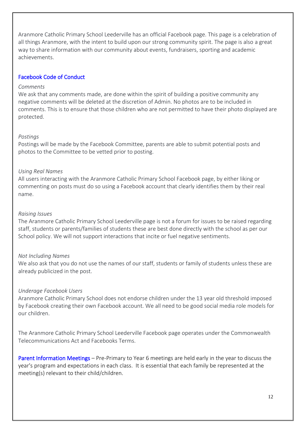Aranmore Catholic Primary School Leederville has an official Facebook page. This page is a celebration of all things Aranmore, with the intent to build upon our strong community spirit. The page is also a great way to share information with our community about events, fundraisers, sporting and academic achievements.

#### Facebook Code of Conduct

#### *Comments*

We ask that any comments made, are done within the spirit of building a positive community any negative comments will be deleted at the discretion of Admin. No photos are to be included in comments. This is to ensure that those children who are not permitted to have their photo displayed are protected.

#### *Postings*

Postings will be made by the Facebook Committee, parents are able to submit potential posts and photos to the Committee to be vetted prior to posting.

#### *Using Real Names*

All users interacting with the Aranmore Catholic Primary School Facebook page, by either liking or commenting on posts must do so using a Facebook account that clearly identifies them by their real name.

#### *Raising Issues*

The Aranmore Catholic Primary School Leederville page is not a forum for issues to be raised regarding staff, students or parents/families of students these are best done directly with the school as per our School policy. We will not support interactions that incite or fuel negative sentiments.

#### *Not Including Names*

We also ask that you do not use the names of our staff, students or family of students unless these are already publicized in the post.

#### *Underage Facebook Users*

Aranmore Catholic Primary School does not endorse children under the 13 year old threshold imposed by Facebook creating their own Facebook account. We all need to be good social media role models for our children.

The Aranmore Catholic Primary School Leederville Facebook page operates under the Commonwealth Telecommunications Act and Facebooks Terms.

Parent Information Meetings – Pre-Primary to Year 6 meetings are held early in the year to discuss the year's program and expectations in each class. It is essential that each family be represented at the meeting(s) relevant to their child/children.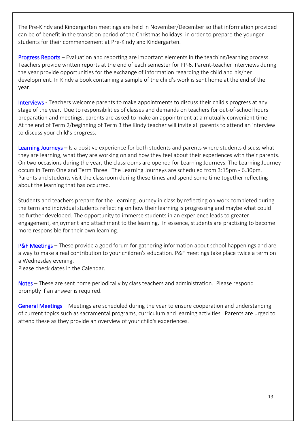The Pre-Kindy and Kindergarten meetings are held in November/December so that information provided can be of benefit in the transition period of the Christmas holidays, in order to prepare the younger students for their commencement at Pre-Kindy and Kindergarten.

Progress Reports – Evaluation and reporting are important elements in the teaching/learning process. Teachers provide written reports at the end of each semester for PP-6. Parent-teacher interviews during the year provide opportunities for the exchange of information regarding the child and his/her development. In Kindy a book containing a sample of the child's work is sent home at the end of the year.

Interviews - Teachers welcome parents to make appointments to discuss their child's progress at any stage of the year. Due to responsibilities of classes and demands on teachers for out-of-school hours preparation and meetings, parents are asked to make an appointment at a mutually convenient time. At the end of Term 2/beginning of Term 3 the Kindy teacher will invite all parents to attend an interview to discuss your child's progress.

Learning Journeys – Is a positive experience for both students and parents where students discuss what they are learning, what they are working on and how they feel about their experiences with their parents. On two occasions during the year, the classrooms are opened for Learning Journeys. The Learning Journey occurs in Term One and Term Three. The Learning Journeys are scheduled from 3:15pm - 6.30pm. Parents and students visit the classroom during these times and spend some time together reflecting about the learning that has occurred.

Students and teachers prepare for the Learning Journey in class by reflecting on work completed during the term and individual students reflecting on how their learning is progressing and maybe what could be further developed. The opportunity to immerse students in an experience leads to greater engagement, enjoyment and attachment to the learning. In essence, students are practising to become more responsible for their own learning.

P&F Meetings – These provide a good forum for gathering information about school happenings and are a way to make a real contribution to your children's education. P&F meetings take place twice a term on a Wednesday evening.

Please check dates in the Calendar.

Notes – These are sent home periodically by class teachers and administration. Please respond promptly if an answer is required.

General Meetings – Meetings are scheduled during the year to ensure cooperation and understanding of current topics such as sacramental programs, curriculum and learning activities. Parents are urged to attend these as they provide an overview of your child's experiences.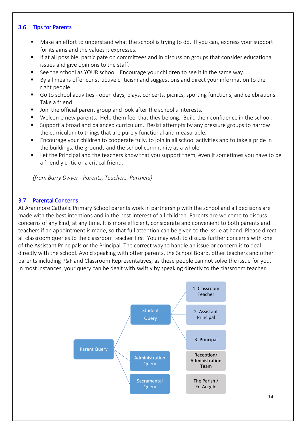#### 3.6 Tips for Parents

- Make an effort to understand what the school is trying to do. If you can, express your support for its aims and the values it expresses.
- If at all possible, participate on committees and in discussion groups that consider educational issues and give opinions to the staff.
- See the school as YOUR school. Encourage your children to see it in the same way.
- By all means offer constructive criticism and suggestions and direct your information to the right people.
- Go to school activities open days, plays, concerts, picnics, sporting functions, and celebrations. Take a friend.
- Join the official parent group and look after the school's interests.
- Welcome new parents. Help them feel that they belong. Build their confidence in the school.
- Support a broad and balanced curriculum. Resist attempts by any pressure groups to narrow the curriculum to things that are purely functional and measurable.
- Encourage your children to cooperate fully, to join in all school activities and to take a pride in the buildings, the grounds and the school community as a whole.
- Let the Principal and the teachers know that you support them, even if sometimes you have to be a friendly critic or a critical friend.

*(from Barry Dwyer - Parents, Teachers, Partners)*

#### 3.7 Parental Concerns

At Aranmore Catholic Primary School parents work in partnership with the school and all decisions are made with the best intentions and in the best interest of all children. Parents are welcome to discuss concerns of any kind, at any time. It is more efficient, considerate and convenient to both parents and teachers if an appointment is made, so that full attention can be given to the issue at hand. Please direct all classroom queries to the classroom teacher first. You may wish to discuss further concerns with one of the Assistant Principals or the Principal. The correct way to handle an issue or concern is to deal directly with the school. Avoid speaking with other parents, the School Board, other teachers and other parents including P&F and Classroom Representatives, as these people can not solve the issue for you. In most instances, your query can be dealt with swiftly by speaking directly to the classroom teacher.

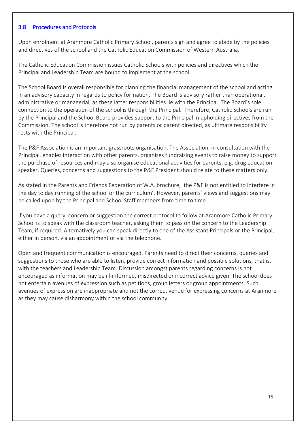#### 3.8 Procedures and Protocols

Upon enrolment at Aranmore Catholic Primary School, parents sign and agree to abide by the policies and directives of the school and the Catholic Education Commission of Western Australia.

The Catholic Education Commission issues Catholic Schools with policies and directives which the Principal and Leadership Team are bound to implement at the school.

The School Board is overall responsible for planning the financial management of the school and acting in an advisory capacity in regards to policy formation. The Board is advisory rather than operational, administrative or managerial, as these latter responsibilities lie with the Principal. The Board's sole connection to the operation of the school is through the Principal. Therefore, Catholic Schools are run by the Principal and the School Board provides support to the Principal in upholding directives from the Commission. The school is therefore not run by parents or parent directed, as ultimate responsibility rests with the Principal.

The P&F Association is an important grassroots organisation. The Association, in consultation with the Principal, enables interaction with other parents, organises fundraising events to raise money to support the purchase of resources and may also organise educational activities for parents, e.g. drug education speaker. Queries, concerns and suggestions to the P&F President should relate to these matters only.

As stated in the Parents and Friends Federation of W.A. brochure, 'the P&F is not entitled to interfere in the day to day running of the school or the curriculum'. However, parents' views and suggestions may be called upon by the Principal and School Staff members from time to time.

If you have a query, concern or suggestion the correct protocol to follow at Aranmore Catholic Primary School is to speak with the classroom teacher, asking them to pass on the concern to the Leadership Team, if required. Alternatively you can speak directly to one of the Assistant Principals or the Principal, either in person, via an appointment or via the telephone.

Open and frequent communication is encouraged. Parents need to direct their concerns, queries and suggestions to those who are able to listen, provide correct information and possible solutions, that is, with the teachers and Leadership Team. Discussion amongst parents regarding concerns is not encouraged as information may be ill-informed, misdirected or incorrect advice given. The school does not entertain avenues of expression such as petitions, group letters or group appointments. Such avenues of expression are inappropriate and not the correct venue for expressing concerns at Aranmore as they may cause disharmony within the school community.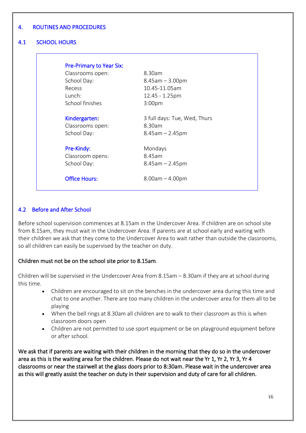### 4. ROUTINES AND PROCEDURES

# 4.1 SCHOOL HOURS

| <b>Pre-Primary to Year Six:</b> |                              |
|---------------------------------|------------------------------|
| Classrooms open:                | 8.30am                       |
| School Day:                     | $8.45$ am $-3.00$ pm         |
| Recess                          | 10.45-11.05am                |
| $l$ unch:                       | $12.45 - 1.25$ pm            |
| School finishes                 | 3:00 <sub>pm</sub>           |
| Kindergarten:                   | 3 full days: Tue, Wed, Thurs |
| Classrooms open:                | 8.30am                       |
| School Day:                     | $8.45$ am $- 2.45$ pm        |
| Pre-Kindy:                      | Mondays                      |
| Classroom opens:                | 8.45am                       |
| School Day:                     | $8.45$ am $- 2.45$ pm        |
| <b>Office Hours:</b>            | $8.00am - 4.00pm$            |

#### 4.2 Before and After School

Before school supervision commences at 8.15am in the Undercover Area. If children are on school site from 8.15am, they must wait in the Undercover Area. If parents are at school early and waiting with their children we ask that they come to the Undercover Area to wait rather than outside the classrooms, so all children can easily be supervised by the teacher on duty.

#### Children must not be on the school site prior to 8.15am.

Children will be supervised in the Undercover Area from 8.15am – 8.30am if they are at school during this time.

- Children are encouraged to sit on the benches in the undercover area during this time and chat to one another. There are too many children in the undercover area for them all to be playing
- When the bell rings at 8.30am all children are to walk to their classroom as this is when classroom doors open
- Children are not permitted to use sport equipment or be on playground equipment before or after school.

We ask that if parents are waiting with their children in the morning that they do so in the undercover area as this is the waiting area for the children. Please do not wait near the Yr 1, Yr 2, Yr 3, Yr 4 classrooms or near the stairwell at the glass doors prior to 8:30am. Please wait in the undercover area as this will greatly assist the teacher on duty in their supervision and duty of care for all children.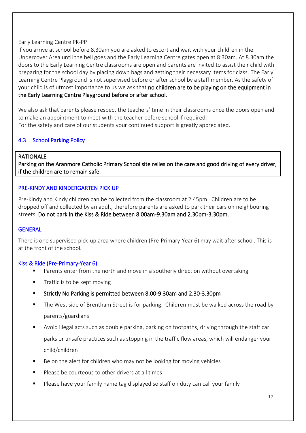#### Early Learning Centre PK-PP

If you arrive at school before 8.30am you are asked to escort and wait with your children in the Undercover Area until the bell goes and the Early Learning Centre gates open at 8:30am. At 8.30am the doors to the Early Learning Centre classrooms are open and parents are invited to assist their child with preparing for the school day by placing down bags and getting their necessary items for class. The Early Learning Centre Playground is not supervised before or after school by a staff member. As the safety of your child is of utmost importance to us we ask that no children are to be playing on the equipment in the Early Learning Centre Playground before or after school.

We also ask that parents please respect the teachers' time in their classrooms once the doors open and to make an appointment to meet with the teacher before school if required. For the safety and care of our students your continued support is greatly appreciated.

# 4.3 School Parking Policy

#### RATIONALE

Parking on the Aranmore Catholic Primary School site relies on the care and good driving of every driver, if the children are to remain safe.

#### PRE-KINDY AND KINDERGARTEN PICK UP

Pre-Kindy and Kindy children can be collected from the classroom at 2.45pm. Children are to be dropped off and collected by an adult, therefore parents are asked to park their cars on neighbouring streets. Do not park in the Kiss & Ride between 8.00am-9.30am and 2.30pm-3.30pm.

#### **GENERAL**

There is one supervised pick-up area where children (Pre-Primary-Year 6) may wait after school. This is at the front of the school.

#### Kiss & Ride (Pre-Primary-Year 6)

- Parents enter from the north and move in a southerly direction without overtaking
- Traffic is to be kept moving
- Strictly No Parking is permitted between 8.00-9.30am and 2.30-3.30pm
- The West side of Brentham Street is for parking. Children must be walked across the road by parents/guardians
- Avoid illegal acts such as double parking, parking on footpaths, driving through the staff car parks or unsafe practices such as stopping in the traffic flow areas, which will endanger your child/children
- Be on the alert for children who may not be looking for moving vehicles
- Please be courteous to other drivers at all times
- Please have your family name tag displayed so staff on duty can call your family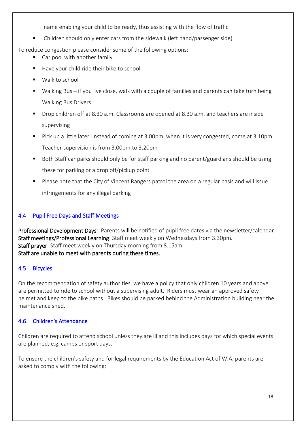name enabling your child to be ready, thus assisting with the flow of traffic

■ Children should only enter cars from the sidewalk (left hand/passenger side)

To reduce congestion please consider some of the following options:

- Car pool with another family
- Have your child ride their bike to school
- Walk to school
- Walking Bus if you live close, walk with a couple of families and parents can take turn being Walking Bus Drivers
- Drop children off at 8.30 a.m. Classrooms are opened at 8.30 a.m. and teachers are inside supervising
- Pick up a little later. Instead of coming at 3.00pm, when it is very congested, come at 3.10pm. Teacher supervision is from 3.00pm.to 3.20pm
- Both Staff car parks should only be for staff parking and no parent/guardians should be using these for parking or a drop off/pickup point
- Please note that the City of Vincent Rangers patrol the area on a regular basis and will issue infringements for any illegal parking

# 4.4 Pupil Free Days and Staff Meetings

Professional Development Days: Parents will be notified of pupil free dates via the newsletter/calendar. Staff meetings/Professional Learning: Staff meet weekly on Wednesdays from 3.30pm. Staff prayer: Staff meet weekly on Thursday morning from 8.15am. Staff are unable to meet with parents during these times.

#### 4.5 Bicycles

On the recommendation of safety authorities, we have a policy that only children 10 years and above are permitted to ride to school without a supervising adult. Riders must wear an approved safety helmet and keep to the bike paths. Bikes should be parked behind the Administration building near the maintenance shed.

#### 4.6 Children's Attendance

Children are required to attend school unless they are ill and this includes days for which special events are planned, e.g. camps or sport days.

To ensure the children's safety and for legal requirements by the Education Act of W.A. parents are asked to comply with the following: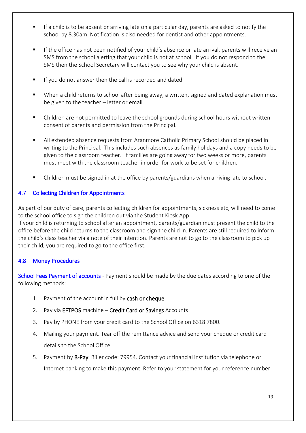- If a child is to be absent or arriving late on a particular day, parents are asked to notify the school by 8.30am. Notification is also needed for dentist and other appointments.
- **■** If the office has not been notified of your child's absence or late arrival, parents will receive an SMS from the school alerting that your child is not at school. If you do not respond to the SMS then the School Secretary will contact you to see why your child is absent.
- If you do not answer then the call is recorded and dated.
- When a child returns to school after being away, a written, signed and dated explanation must be given to the teacher – letter or email.
- Children are not permitted to leave the school grounds during school hours without written consent of parents and permission from the Principal.
- All extended absence requests from Aranmore Catholic Primary School should be placed in writing to the Principal. This includes such absences as family holidays and a copy needs to be given to the classroom teacher. If families are going away for two weeks or more, parents must meet with the classroom teacher in order for work to be set for children.
- Children must be signed in at the office by parents/guardians when arriving late to school.

# 4.7 Collecting Children for Appointments

As part of our duty of care, parents collecting children for appointments, sickness etc, will need to come to the school office to sign the children out via the Student Kiosk App.

If your child is returning to school after an appointment, parents/guardian must present the child to the office before the child returns to the classroom and sign the child in. Parents are still required to inform the child's class teacher via a note of their intention. Parents are not to go to the classroom to pick up their child, you are required to go to the office first.

#### 4.8 Money Procedures

School Fees Payment of accounts - Payment should be made by the due dates according to one of the following methods:

- 1. Payment of the account in full by cash or cheque
- 2. Pay via EFTPOS machine Credit Card or Savings Accounts
- 3. Pay by PHONE from your credit card to the School Office on 6318 7800.
- 4. Mailing your payment. Tear off the remittance advice and send your cheque or credit card details to the School Office.
- 5. Payment by B-Pay. Biller code: 79954. Contact your financial institution via telephone or Internet banking to make this payment. Refer to your statement for your reference number.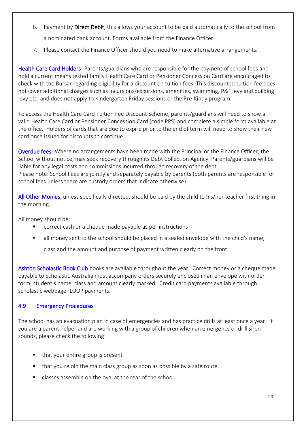- 6. Payment by Direct Debit, this allows your account to be paid automatically to the school from a nominated bank account. Forms available from the Finance Officer.
- 7. Please contact the Finance Officer should you need to make alternative arrangements.

Health Care Card Holders- Parents/guardians who are responsible for the payment of school fees and hold a current means tested family Health Care Card or Pensioner Concession Card are encouraged to check with the Bursar regarding eligibility for a discount on tuition fees. This discounted tuition fee does not cover additional charges such as incursions/excursions, amenities, swimming, P&F levy and building levy etc. and does not apply to Kindergarten Friday sessions or the Pre-Kindy program.

To access the Health Care Card Tuition Fee Discount Scheme, parents/guardians will need to show a valid Health Care Card or Pensioner Concession Card (code PPS) and complete a simple form available at the office. Holders of cards that are due to expire prior to the end of term will need to show their new card once issued for discounts to continue.

Overdue fees- Where no arrangements have been made with the Principal or the Finance Officer, the School without notice, may seek recovery through its Debt Collection Agency. Parents/guardians will be liable for any legal costs and commissions incurred through recovery of the debt. Please note: School Fees are jointly and separately payable by parents (both parents are responsible for school fees unless there are custody orders that indicate otherwise).

All Other Monies, unless specifically directed, should be paid by the child to his/her teacher first thing in the morning.

All money should be:

- correct cash or a cheque made payable as per instructions
- all money sent to the school should be placed in a sealed envelope with the child's name,

class and the amount and purpose of payment written clearly on the front

Ashton Scholastic Book Club books are available throughout the year. Correct money or a cheque made payable to Scholastic Australia must accompany orders securely enclosed in an envelope with order form, student's name, class and amount clearly marked. Credit card payments available through scholastic webpage- LOOP payments.

# 4.9 Emergency Procedures

The school has an evacuation plan in case of emergencies and has practice drills at least once a year. If you are a parent helper and are working with a group of children when an emergency or drill siren sounds, please check the following:

- that your entire group is present
- that you rejoin the main class group as soon as possible by a safe route
- classes assemble on the oval at the rear of the school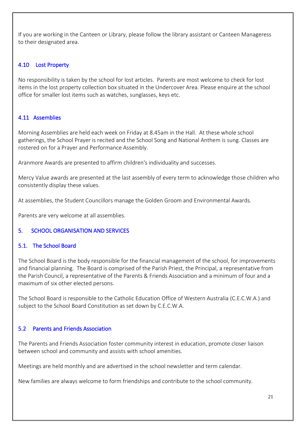If you are working in the Canteen or Library, please follow the library assistant or Canteen Manageress to their designated area.

# 4.10 Lost Property

No responsibility is taken by the school for lost articles. Parents are most welcome to check for lost items in the lost property collection box situated in the Undercover Area. Please enquire at the school office for smaller lost items such as watches, sunglasses, keys etc.

# 4.11 Assemblies

Morning Assemblies are held each week on Friday at 8.45am in the Hall. At these whole school gatherings, the School Prayer is recited and the School Song and National Anthem is sung. Classes are rostered on for a Prayer and Performance Assembly.

Aranmore Awards are presented to affirm children's individuality and successes.

Mercy Value awards are presented at the last assembly of every term to acknowledge those children who consistently display these values.

At assemblies, the Student Councillors manage the Golden Groom and Environmental Awards.

Parents are very welcome at all assemblies.

#### 5. SCHOOL ORGANISATION AND SERVICES

#### 5.1. The School Board

The School Board is the body responsible for the financial management of the school, for improvements and financial planning. The Board is comprised of the Parish Priest, the Principal, a representative from the Parish Council, a representative of the Parents & Friends Association and a minimum of four and a maximum of six other elected persons.

The School Board is responsible to the Catholic Education Office of Western Australia (C.E.C.W.A.) and subject to the School Board Constitution as set down by C.E.C.W.A.

#### 5.2 Parents and Friends Association

The Parents and Friends Association foster community interest in education, promote closer liaison between school and community and assists with school amenities.

Meetings are held monthly and are advertised in the school newsletter and term calendar.

New families are always welcome to form friendships and contribute to the school community.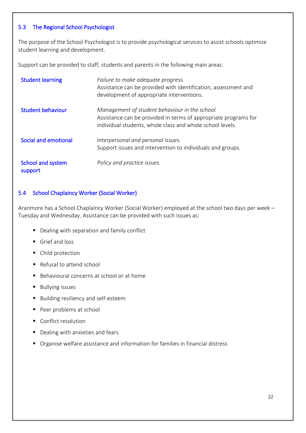### 5.3 The Regional School Psychologist

The purpose of the School Psychologist is to provide psychological services to assist schools optimize student learning and development.

Support can be provided to staff, students and parents in the following main areas:

| <b>Student learning</b>      | Failure to make adequate progress.<br>Assistance can be provided with identification, assessment and<br>development of appropriate interventions.                              |
|------------------------------|--------------------------------------------------------------------------------------------------------------------------------------------------------------------------------|
| <b>Student behaviour</b>     | Management of student behaviour in the school.<br>Assistance can be provided in terms of appropriate programs for<br>individual students, whole class and whole school levels. |
| Social and emotional         | Interpersonal and personal issues.<br>Support issues and intervention to individuals and groups.                                                                               |
| School and system<br>support | Policy and practice issues.                                                                                                                                                    |

# 5.4 School Chaplaincy Worker (Social Worker)

Aranmore has a School Chaplaincy Worker (Social Worker) employed at the school two days per week – Tuesday and Wednesday. Assistance can be provided with such issues as:

- Dealing with separation and family conflict
- Grief and loss
- Child protection
- Refusal to attend school
- Behavioural concerns at school or at home
- Bullying issues
- Building resiliency and self-esteem
- Peer problems at school
- Conflict resolution
- Dealing with anxieties and fears
- Organise welfare assistance and information for families in financial distress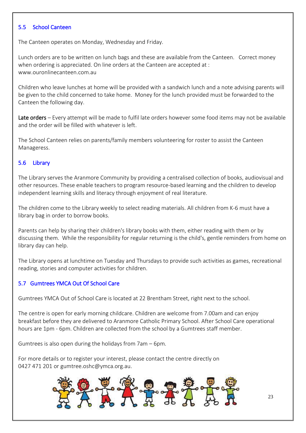#### 5.5 School Canteen

The Canteen operates on Monday, Wednesday and Friday.

Lunch orders are to be written on lunch bags and these are available from the Canteen. Correct money when ordering is appreciated. On line orders at the Canteen are accepted at : www.ouronlinecanteen.com.au

Children who leave lunches at home will be provided with a sandwich lunch and a note advising parents will be given to the child concerned to take home. Money for the lunch provided must be forwarded to the Canteen the following day.

Late orders – Every attempt will be made to fulfil late orders however some food items may not be available and the order will be filled with whatever is left.

The School Canteen relies on parents/family members volunteering for roster to assist the Canteen Manageress.

#### 5.6 Library

The Library serves the Aranmore Community by providing a centralised collection of books, audiovisual and other resources. These enable teachers to program resource-based learning and the children to develop independent learning skills and literacy through enjoyment of real literature.

The children come to the Library weekly to select reading materials. All children from K-6 must have a library bag in order to borrow books.

Parents can help by sharing their children's library books with them, either reading with them or by discussing them. While the responsibility for regular returning is the child's, gentle reminders from home on library day can help.

The Library opens at lunchtime on Tuesday and Thursdays to provide such activities as games, recreational reading, stories and computer activities for children.

#### 5.7 Gumtrees YMCA Out Of School Care

Gumtrees YMCA Out of School Care is located at 22 Brentham Street, right next to the school.

The centre is open for early morning childcare. Children are welcome from 7.00am and can enjoy breakfast before they are delivered to Aranmore Catholic Primary School. After School Care operational hours are 1pm - 6pm. Children are collected from the school by a Gumtrees staff member.

Gumtrees is also open during the holidays from 7am – 6pm.

For more details or to register your interest, please contact the centre directly on 0427 471 201 or [gumtree.oshc@ymca.org.au.](mailto:gumtree.oshc@ymca.org.au)

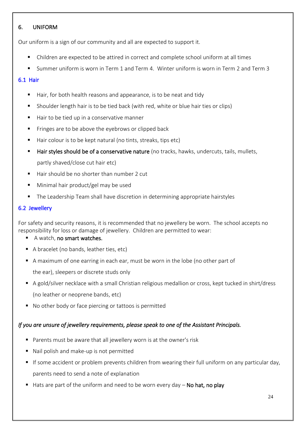# 6. UNIFORM

Our uniform is a sign of our community and all are expected to support it.

- Children are expected to be attired in correct and complete school uniform at all times
- Summer uniform is worn in Term 1 and Term 4. Winter uniform is worn in Term 2 and Term 3

# 6.1 Hair

- Hair, for both health reasons and appearance, is to be neat and tidy
- Shoulder length hair is to be tied back (with red, white or blue hair ties or clips)
- Hair to be tied up in a conservative manner
- Fringes are to be above the eyebrows or clipped back
- Hair colour is to be kept natural (no tints, streaks, tips etc)
- Hair styles should be of a conservative nature (no tracks, hawks, undercuts, tails, mullets, partly shaved/close cut hair etc)
- Hair should be no shorter than number 2 cut
- Minimal hair product/gel may be used
- The Leadership Team shall have discretion in determining appropriate hairstyles

# 6.2 Jewellery

For safety and security reasons, it is recommended that no jewellery be worn. The school accepts no responsibility for loss or damage of jewellery. Children are permitted to wear:

- A watch, no smart watches.
- A bracelet (no bands, leather ties, etc)
- A maximum of one earring in each ear, must be worn in the lobe (no other part of

the ear), sleepers or discrete studs only

- A gold/silver necklace with a small Christian religious medallion or cross, kept tucked in shirt/dress (no leather or neoprene bands, etc)
- No other body or face piercing or tattoos is permitted

# *If you are unsure of jewellery requirements, please speak to one of the Assistant Principals.*

- Parents must be aware that all jewellery worn is at the owner's risk
- Nail polish and make-up is not permitted
- **E** If some accident or problem prevents children from wearing their full uniform on any particular day, parents need to send a note of explanation
- $\blacksquare$  Hats are part of the uniform and need to be worn every day  $\lnot$  No hat, no play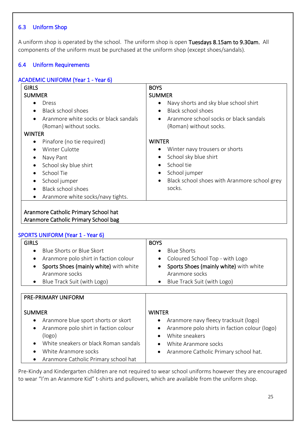# 6.3 Uniform Shop

A uniform shop is operated by the school. The uniform shop is open Tuesdays 8.15am to 9.30am. All components of the uniform must be purchased at the uniform shop (except shoes/sandals).

# 6.4 Uniform Requirements

| <b>GIRLS</b>                                                                                                                                                                                                                                               | <b>BOYS</b>                                                                                                                                                                         |  |
|------------------------------------------------------------------------------------------------------------------------------------------------------------------------------------------------------------------------------------------------------------|-------------------------------------------------------------------------------------------------------------------------------------------------------------------------------------|--|
| <b>SUMMER</b>                                                                                                                                                                                                                                              | <b>SUMMER</b>                                                                                                                                                                       |  |
| Dress<br>Black school shoes<br>Aranmore white socks or black sandals<br>(Roman) without socks.<br><b>WINTER</b>                                                                                                                                            | Navy shorts and sky blue school shirt<br>Black school shoes<br>Aranmore school socks or black sandals<br>(Roman) without socks.                                                     |  |
| Pinafore (no tie required)<br>$\bullet$<br>Winter Culotte<br>$\bullet$<br>Navy Pant<br>$\bullet$<br>School sky blue shirt<br>$\bullet$<br>School Tie<br>$\bullet$<br>School jumper<br>$\bullet$<br>Black school shoes<br>Aranmore white socks/navy tights. | <b>WINTER</b><br>Winter navy trousers or shorts<br>School sky blue shirt<br>School tie<br>School jumper<br>٠<br>Black school shoes with Aranmore school grey<br>$\bullet$<br>socks. |  |
| Aranmore Catholic Primary School hat<br>Aranmore Catholic Primary School bag                                                                                                                                                                               |                                                                                                                                                                                     |  |

|               | <b>SPORTS UNIFORM (Year 1 - Year 6)</b> |               |                                        |
|---------------|-----------------------------------------|---------------|----------------------------------------|
| <b>GIRLS</b>  |                                         | <b>BOYS</b>   |                                        |
| $\bullet$     | Blue Shorts or Blue Skort               | $\bullet$     | <b>Blue Shorts</b>                     |
| $\bullet$     | Aranmore polo shirt in faction colour   | $\bullet$     | Coloured School Top - with Logo        |
| $\bullet$     | Sports Shoes (mainly white) with white  | $\bullet$     | Sports Shoes (mainly white) with white |
|               | Aranmore socks                          |               | Aranmore socks                         |
| $\bullet$     | Blue Track Suit (with Logo)             | $\bullet$     | Blue Track Suit (with Logo)            |
|               |                                         |               |                                        |
|               | <b>PRE-PRIMARY UNIFORM</b>              |               |                                        |
| <b>SUMMER</b> |                                         | <b>WINTER</b> |                                        |
| $\bullet$     | Aranmore blue sport shorts or skort     |               | Aranmore navy fleecy tracksuit (logo)  |

- Aranmore polo shirt in faction colour (logo)
- White sneakers or black Roman sandals
- White Aranmore socks
- Aranmore Catholic Primary school hat
- Aranmore navy fleecy tracksuit (logo)
- Aranmore polo shirts in faction colour (logo)
- White sneakers
- White Aranmore socks
- Aranmore Catholic Primary school hat.
- 

Pre-Kindy and Kindergarten children are not required to wear school uniforms however they are encouraged to wear "I'm an Aranmore Kid" t-shirts and pullovers, which are available from the uniform shop.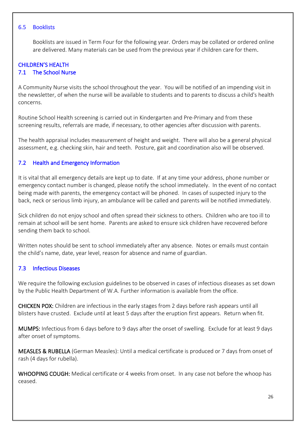#### 6.5 Booklists

Booklists are issued in Term Four for the following year. Orders may be collated or ordered online are delivered. Many materials can be used from the previous year if children care for them.

#### CHILDREN'S HEALTH 7.1 The School Nurse

A Community Nurse visits the school throughout the year. You will be notified of an impending visit in the newsletter, of when the nurse will be available to students and to parents to discuss a child's health concerns.

Routine School Health screening is carried out in Kindergarten and Pre-Primary and from these screening results, referrals are made, if necessary, to other agencies after discussion with parents.

The health appraisal includes measurement of height and weight. There will also be a general physical assessment, e.g. checking skin, hair and teeth. Posture, gait and coordination also will be observed.

# 7.2 Health and Emergency Information

It is vital that all emergency details are kept up to date. If at any time your address, phone number or emergency contact number is changed, please notify the school immediately. In the event of no contact being made with parents, the emergency contact will be phoned. In cases of suspected injury to the back, neck or serious limb injury, an ambulance will be called and parents will be notified immediately.

Sick children do not enjoy school and often spread their sickness to others. Children who are too ill to remain at school will be sent home. Parents are asked to ensure sick children have recovered before sending them back to school.

Written notes should be sent to school immediately after any absence. Notes or emails must contain the child's name, date, year level, reason for absence and name of guardian.

#### 7.3 Infectious Diseases

We require the following exclusion guidelines to be observed in cases of infectious diseases as set down by the Public Health Department of W.A. Further information is available from the office.

CHICKEN POX: Children are infectious in the early stages from 2 days before rash appears until all blisters have crusted. Exclude until at least 5 days after the eruption first appears. Return when fit.

MUMPS: Infectious from 6 days before to 9 days after the onset of swelling. Exclude for at least 9 days after onset of symptoms.

MEASLES & RUBELLA (German Measles): Until a medical certificate is produced or 7 days from onset of rash (4 days for rubella).

WHOOPING COUGH: Medical certificate or 4 weeks from onset. In any case not before the whoop has ceased.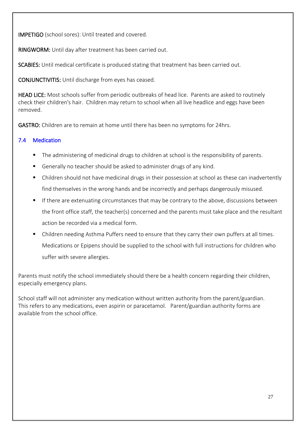IMPETIGO (school sores): Until treated and covered.

RINGWORM: Until day after treatment has been carried out.

SCABIES: Until medical certificate is produced stating that treatment has been carried out.

CONJUNCTIVITIS: Until discharge from eyes has ceased.

HEAD LICE: Most schools suffer from periodic outbreaks of head lice. Parents are asked to routinely check their children's hair. Children may return to school when all live headlice and eggs have been removed.

GASTRO: Children are to remain at home until there has been no symptoms for 24hrs.

# 7.4 Medication

- The administering of medicinal drugs to children at school is the responsibility of parents.
- Generally no teacher should be asked to administer drugs of any kind.
- Children should not have medicinal drugs in their possession at school as these can inadvertently find themselves in the wrong hands and be incorrectly and perhaps dangerously misused.
- If there are extenuating circumstances that may be contrary to the above, discussions between the front office staff, the teacher(s) concerned and the parents must take place and the resultant action be recorded via a medical form.
- Children needing Asthma Puffers need to ensure that they carry their own puffers at all times. Medications or Epipens should be supplied to the school with full instructions for children who suffer with severe allergies.

Parents must notify the school immediately should there be a health concern regarding their children, especially emergency plans.

School staff will not administer any medication without written authority from the parent/guardian. This refers to any medications, even aspirin or paracetamol. Parent/guardian authority forms are available from the school office.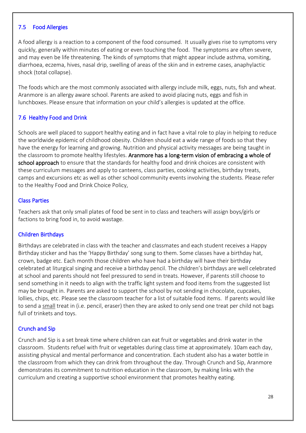# 7.5 Food Allergies

A food allergy is a reaction to a component of the food consumed. It usually gives rise to symptoms very quickly, generally within minutes of eating or even touching the food. The symptoms are often severe, and may even be life threatening. The kinds of symptoms that might appear include asthma, vomiting, diarrhoea, eczema, hives, nasal drip, swelling of areas of the skin and in extreme cases, anaphylactic shock (total collapse).

The foods which are the most commonly associated with allergy include milk, eggs, nuts, fish and wheat. Aranmore is an allergy aware school. Parents are asked to avoid placing nuts, eggs and fish in lunchboxes. Please ensure that information on your child's allergies is updated at the office.

# 7.6 Healthy Food and Drink

Schools are well placed to support healthy eating and in fact have a vital role to play in helping to reduce the worldwide epidemic of childhood obesity. Children should eat a wide range of foods so that they have the energy for learning and growing. Nutrition and physical activity messages are being taught in the classroom to promote healthy lifestyles. Aranmore has a long-term vision of embracing a whole of school approach to ensure that the standards for healthy food and drink choices are consistent with these curriculum messages and apply to canteens, class parties, cooking activities, birthday treats, camps and excursions etc as well as other school community events involving the students. Please refer to the Healthy Food and Drink Choice Policy,

#### Class Parties

Teachers ask that only small plates of food be sent in to class and teachers will assign boys/girls or factions to bring food in, to avoid wastage.

#### Children Birthdays

Birthdays are celebrated in class with the teacher and classmates and each student receives a Happy Birthday sticker and has the 'Happy Birthday' song sung to them. Some classes have a birthday hat, crown, badge etc. Each month those children who have had a birthday will have their birthday celebrated at liturgical singing and receive a birthday pencil. The children's birthdays are well celebrated at school and parents should not feel pressured to send in treats. However, if parents still choose to send something in it needs to align with the traffic light system and food items from the suggested list may be brought in. Parents are asked to support the school by not sending in chocolate, cupcakes, lollies, chips, etc. Please see the classroom teacher for a list of suitable food items. If parents would like to send a small treat in (i.e. pencil, eraser) then they are asked to only send one treat per child not bags full of trinkets and toys.

#### Crunch and Sip

Crunch and Sip is a set break time where children can eat fruit or vegetables and drink water in the classroom. Students refuel with fruit or vegetables during class time at approximately. 10am each day, assisting physical and mental performance and concentration. Each student also has a water bottle in the classroom from which they can drink from throughout the day. Through Crunch and Sip, Aranmore demonstrates its commitment to nutrition education in the classroom, by making links with the curriculum and creating a supportive school environment that promotes healthy eating.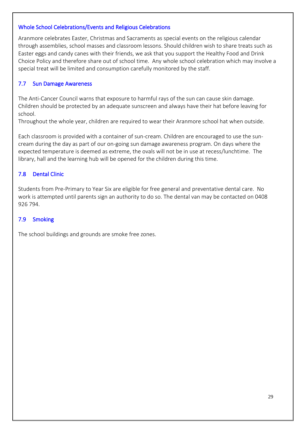#### Whole School Celebrations/Events and Religious Celebrations

Aranmore celebrates Easter, Christmas and Sacraments as special events on the religious calendar through assemblies, school masses and classroom lessons. Should children wish to share treats such as Easter eggs and candy canes with their friends, we ask that you support the Healthy Food and Drink Choice Policy and therefore share out of school time. Any whole school celebration which may involve a special treat will be limited and consumption carefully monitored by the staff.

#### 7.7 Sun Damage Awareness

The Anti-Cancer Council warns that exposure to harmful rays of the sun can cause skin damage. Children should be protected by an adequate sunscreen and always have their hat before leaving for school.

Throughout the whole year, children are required to wear their Aranmore school hat when outside.

Each classroom is provided with a container of sun-cream. Children are encouraged to use the suncream during the day as part of our on-going sun damage awareness program. On days where the expected temperature is deemed as extreme, the ovals will not be in use at recess/lunchtime. The library, hall and the learning hub will be opened for the children during this time.

#### 7.8 Dental Clinic

Students from Pre-Primary to Year Six are eligible for free general and preventative dental care. No work is attempted until parents sign an authority to do so. The dental van may be contacted on 0408 926 794.

#### 7.9 Smoking

The school buildings and grounds are smoke free zones.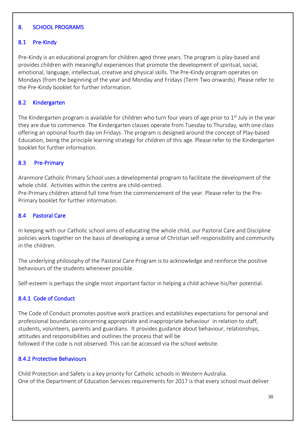# 8. SCHOOL PROGRAMS

# 8.1 Pre-Kindy

Pre-Kindy is an educational program for children aged three years. The program is play-based and provides children with meaningful experiences that promote the development of spiritual, social, emotional, language, intellectual, creative and physical skills. The Pre-Kindy program operates on Mondays (from the beginning of the year and Monday and Fridays (Term Two onwards). Please refer to the Pre-Kindy booklet for further information.

#### 8.2 Kindergarten

The Kindergarten program is available for children who turn four years of age prior to 1<sup>st</sup> July in the year they are due to commence. The Kindergarten classes operate from Tuesday to Thursday, with one class offering an optional fourth day on Fridays. The program is designed around the concept of Play-based Education, being the principle learning strategy for children of this age. Please refer to the Kindergarten booklet for further information.

# 8.3 Pre-Primary

Aranmore Catholic Primary School uses a developmental program to facilitate the development of the whole child. Activities within the centre are child-centred.

Pre-Primary children attend full time from the commencement of the year. Please refer to the Pre-Primary booklet for further information.

# 8.4 Pastoral Care

In keeping with our Catholic school aims of educating the whole child, our Pastoral Care and Discipline policies work together on the basis of developing a sense of Christian self-responsibility and community in the children.

The underlying philosophy of the Pastoral Care Program is to acknowledge and reinforce the positive behaviours of the students whenever possible.

Self-esteem is perhaps the single most important factor in helping a child achieve his/her potential.

# 8.4.1 Code of Conduct

The Code of Conduct promotes positive work practices and establishes expectations for personal and professional boundaries concerning appropriate and inappropriate behaviour in relation to staff, students, volunteers, parents and guardians. It provides guidance about behaviour, relationships, attitudes and responsibilities and outlines the process that will be followed if the code is not observed. This can be accessed via the school website.

#### 8.4.2 Protective Behaviours

Child Protection and Safety is a key priority for Catholic schools in Western Australia. One of the Department of Education Services requirements for 2017 is that every school must deliver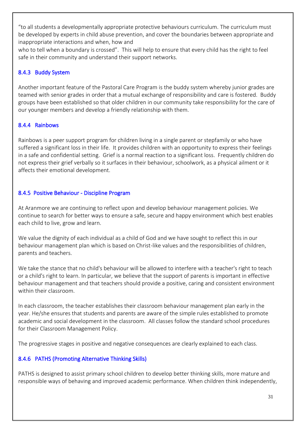"to all students a developmentally appropriate protective behaviours curriculum. The curriculum must be developed by experts in child abuse prevention, and cover the boundaries between appropriate and inappropriate interactions and when, how and

who to tell when a boundary is crossed". This will help to ensure that every child has the right to feel safe in their community and understand their support networks.

# 8.4.3 Buddy System

Another important feature of the Pastoral Care Program is the buddy system whereby junior grades are teamed with senior grades in order that a mutual exchange of responsibility and care is fostered. Buddy groups have been established so that older children in our community take responsibility for the care of our younger members and develop a friendly relationship with them.

# 8.4.4 Rainbows

Rainbows is a peer support program for children living in a single parent or stepfamily or who have suffered a significant loss in their life. It provides children with an opportunity to express their feelings in a safe and confidential setting. Grief is a normal reaction to a significant loss. Frequently children do not express their grief verbally so it surfaces in their behaviour, schoolwork, as a physical ailment or it affects their emotional development.

# 8.4.5 Positive Behaviour - Discipline Program

At Aranmore we are continuing to reflect upon and develop behaviour management policies. We continue to search for better ways to ensure a safe, secure and happy environment which best enables each child to live, grow and learn.

We value the dignity of each individual as a child of God and we have sought to reflect this in our behaviour management plan which is based on Christ-like values and the responsibilities of children, parents and teachers.

We take the stance that no child's behaviour will be allowed to interfere with a teacher's right to teach or a child's right to learn. In particular, we believe that the support of parents is important in effective behaviour management and that teachers should provide a positive, caring and consistent environment within their classroom.

In each classroom, the teacher establishes their classroom behaviour management plan early in the year. He/she ensures that students and parents are aware of the simple rules established to promote academic and social development in the classroom. All classes follow the standard school procedures for their Classroom Management Policy.

The progressive stages in positive and negative consequences are clearly explained to each class.

# 8.4.6 PATHS (Promoting Alternative Thinking Skills)

PATHS is designed to assist primary school children to develop better thinking skills, more mature and responsible ways of behaving and improved academic performance. When children think independently,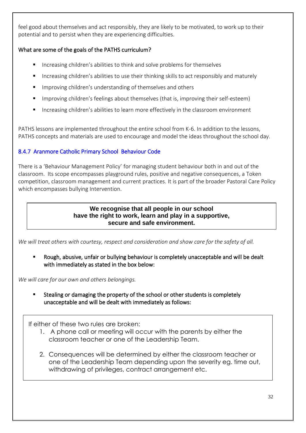feel good about themselves and act responsibly, they are likely to be motivated, to work up to their potential and to persist when they are experiencing difficulties.

# What are some of the goals of the PATHS curriculum?

- Increasing children's abilities to think and solve problems for themselves
- Increasing children's abilities to use their thinking skills to act responsibly and maturely
- Improving children's understanding of themselves and others
- Improving children's feelings about themselves (that is, improving their self-esteem)
- Increasing children's abilities to learn more effectively in the classroom environment

PATHS lessons are implemented throughout the entire school from K-6. In addition to the lessons, PATHS concepts and materials are used to encourage and model the ideas throughout the school day.

# 8.4.7 Aranmore Catholic Primary School Behaviour Code

There is a 'Behaviour Management Policy' for managing student behaviour both in and out of the classroom. Its scope encompasses playground rules, positive and negative consequences, a Token competition, classroom management and current practices. It is part of the broader Pastoral Care Policy which encompasses bullying Intervention.

# **We recognise that all people in our school have the right to work, learn and play in a supportive, secure and safe environment.**

*We will treat others with courtesy, respect and consideration and show care for the safety of all.* 

Rough, abusive, unfair or bullying behaviour is completely unacceptable and will be dealt with immediately as stated in the box below:

*We will care for our own and others belongings.*

Stealing or damaging the property of the school or other students is completely unacceptable and will be dealt with immediately as follows:

If either of these two rules are broken:

- 1. A phone call or meeting will occur with the parents by either the classroom teacher or one of the Leadership Team.
- 2. Consequences will be determined by either the classroom teacher or one of the Leadership Team depending upon the severity eg. time out, withdrawing of privileges, contract arrangement etc.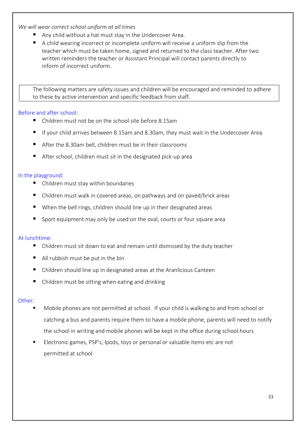#### *We will wear correct school uniform at all times*

- Any child without a hat must stay in the Undercover Area.
- A child wearing incorrect or incomplete uniform will receive a uniform slip from the teacher which must be taken home, signed and returned to the class teacher. After two written reminders the teacher or Assistant Principal will contact parents directly to inform of incorrect uniform.

The following matters are safety issues and children will be encouraged and reminded to adhere to these by active intervention and specific feedback from staff.

#### Before and after school:

- Children must not be on the school site before 8.15am
- If your child arrives between 8.15am and 8.30am, they must wait in the Undercover Area
- After the 8.30am bell, children must be in their classrooms
- After school, children must sit in the designated pick-up area

#### In the playground:

- Children must stay within boundaries
- Children must walk in covered areas, on pathways and on paved/brick areas
- When the bell rings, children should line up in their designated areas
- Sport equipment may only be used on the oval, courts or four square area

#### At lunchtime:

- Children must sit down to eat and remain until dismissed by the duty teacher
- $\blacksquare$  All rubbish must be put in the bin
- Children should line up in designated areas at the Aranlicious Canteen
- Children must be sitting when eating and drinking

#### Other:

- Mobile phones are not permitted at school. If your child is walking to and from school or catching a bus and parents require them to have a mobile phone, parents will need to notify the school in writing and mobile phones will be kept in the office during school hours
- Electronic games, PSP's, Ipods, toys or personal or valuable items etc are not permitted at school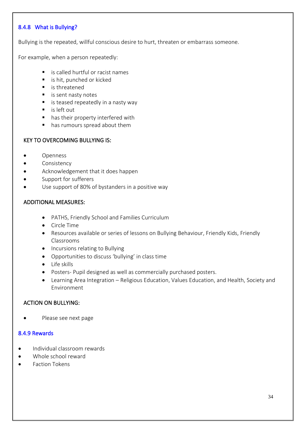# 8.4.8 What is Bullying?

Bullying is the repeated, willful conscious desire to hurt, threaten or embarrass someone.

For example, when a person repeatedly:

- is called hurtful or racist names
- is hit, punched or kicked
- is threatened
- is sent nasty notes
- is teased repeatedly in a nasty way
- is left out
- has their property interfered with
- has rumours spread about them

#### KEY TO OVERCOMING BULLYING IS:

- Openness
- Consistency
- Acknowledgement that it does happen
- Support for sufferers
- Use support of 80% of bystanders in a positive way

#### ADDITIONAL MEASURES:

- PATHS, Friendly School and Families Curriculum
- Circle Time
- Resources available or series of lessons on Bullying Behaviour, Friendly Kids, Friendly Classrooms
- Incursions relating to Bullying
- Opportunities to discuss 'bullying' in class time
- Life skills
- Posters- Pupil designed as well as commercially purchased posters.
- Learning Area Integration Religious Education, Values Education, and Health, Society and Environment

#### ACTION ON BULLYING:

• Please see next page

#### 8.4.9 Rewards

- Individual classroom rewards
- Whole school reward
- Faction Tokens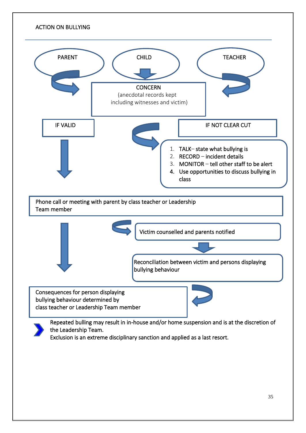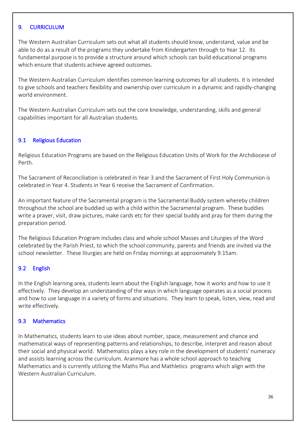#### 9. CURRICULUM

The Western Australian Curriculum sets out what all students should know, understand, value and be able to do as a result of the programs they undertake from Kindergarten through to Year 12. Its fundamental purpose is to provide a structure around which schools can build educational programs which ensure that students achieve agreed outcomes.

The Western Australian Curriculum identifies common learning outcomes for all students. It is intended to give schools and teachers flexibility and ownership over curriculum in a dynamic and rapidly-changing world environment.

The Western Australian Curriculum sets out the core knowledge, understanding, skills and general capabilities important for all Australian students.

# 9.1 Religious Education

Religious Education Programs are based on the Religious Education Units of Work for the Archdiocese of Perth.

The Sacrament of Reconciliation is celebrated in Year 3 and the Sacrament of First Holy Communion is celebrated in Year 4. Students in Year 6 receive the Sacrament of Confirmation.

An important feature of the Sacramental program is the Sacramental Buddy system whereby children throughout the school are buddied up with a child within the Sacramental program. These buddies write a prayer, visit, draw pictures, make cards etc for their special buddy and pray for them during the preparation period.

The Religious Education Program includes class and whole school Masses and Liturgies of the Word celebrated by the Parish Priest, to which the school community, parents and friends are invited via the school newsletter. These liturgies are held on Friday mornings at approximately 9.15am.

#### 9.2 English

In the English learning area, students learn about the English language, how it works and how to use it effectively. They develop an understanding of the ways in which language operates as a social process and how to use language in a variety of forms and situations. They learn to speak, listen, view, read and write effectively.

#### 9.3 Mathematics

In Mathematics, students learn to use ideas about number, space, measurement and chance and mathematical ways of representing patterns and relationships, to describe, interpret and reason about their social and physical world. Mathematics plays a key role in the development of students' numeracy and assists learning across the curriculum. Aranmore has a whole school approach to teaching Mathematics and is currently utilizing the Maths Plus and Mathletics programs which align with the Western Australian Curriculum.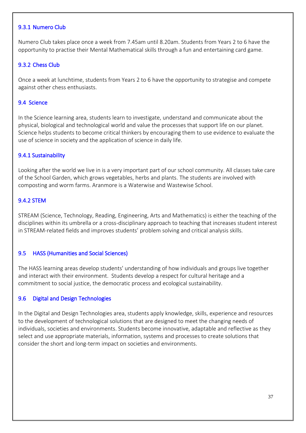#### 9.3.1 Numero Club

Numero Club takes place once a week from 7.45am until 8.20am. Students from Years 2 to 6 have the opportunity to practise their Mental Mathematical skills through a fun and entertaining card game.

#### 9.3.2 Chess Club

Once a week at lunchtime, students from Years 2 to 6 have the opportunity to strategise and compete against other chess enthusiasts.

#### 9.4 Science

In the Science learning area, students learn to investigate, understand and communicate about the physical, biological and technological world and value the processes that support life on our planet. Science helps students to become critical thinkers by encouraging them to use evidence to evaluate the use of science in society and the application of science in daily life.

#### 9.4.1 Sustainability

Looking after the world we live in is a very important part of our school community. All classes take care of the School Garden, which grows vegetables, herbs and plants. The students are involved with composting and worm farms. Aranmore is a Waterwise and Wastewise School.

# 9.4.2 STEM

STREAM (Science, Technology, Reading, Engineering, Arts and Mathematics) is either the teaching of the disciplines within its umbrella or a cross-disciplinary approach to teaching that increases student interest in STREAM-related fields and improves students' problem solving and critical analysis skills.

#### 9.5 HASS (Humanities and Social Sciences)

The HASS learning areas develop students' understanding of how individuals and groups live together and interact with their environment. Students develop a respect for cultural heritage and a commitment to social justice, the democratic process and ecological sustainability.

#### 9.6 Digital and Design Technologies

In the Digital and Design Technologies area, students apply knowledge, skills, experience and resources to the development of technological solutions that are designed to meet the changing needs of individuals, societies and environments. Students become innovative, adaptable and reflective as they select and use appropriate materials, information, systems and processes to create solutions that consider the short and long-term impact on societies and environments.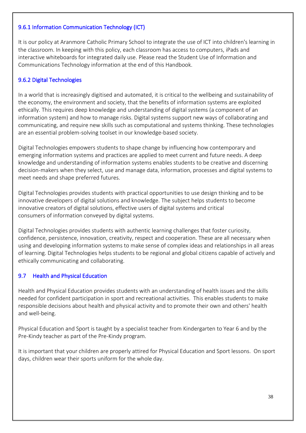# 9.6.1 Information Communication Technology (ICT)

It is our policy at Aranmore Catholic Primary School to integrate the use of ICT into children's learning in the classroom. In keeping with this policy, each classroom has access to computers, iPads and interactive whiteboards for integrated daily use. Please read the Student Use of Information and Communications Technology information at the end of this Handbook.

# 9.6.2 Digital Technologies

In a world that is increasingly digitised and automated, it is critical to the wellbeing and sustainability of the economy, the environment and society, that the benefits of information systems are exploited ethically. This requires deep knowledge and understanding of digital systems (a component of an information system) and how to manage risks. Digital systems support new ways of collaborating and communicating, and require new skills such as computational and systems thinking. These technologies are an essential problem-solving toolset in our knowledge-based society.

Digital Technologies empowers students to shape change by influencing how contemporary and emerging information systems and practices are applied to meet current and future needs. A deep knowledge and understanding of information systems enables students to be creative and discerning decision-makers when they select, use and manage data, information, processes and digital systems to meet needs and shape preferred futures.

Digital Technologies provides students with practical opportunities to use design thinking and to be innovative developers of digital solutions and knowledge. The subject helps students to become innovative creators of digital solutions, effective users of digital systems and critical consumers of information conveyed by digital systems.

Digital Technologies provides students with authentic learning challenges that foster curiosity, confidence, persistence, innovation, creativity, respect and cooperation. These are all necessary when using and developing information systems to make sense of complex ideas and relationships in all areas of learning. Digital Technologies helps students to be regional and global citizens capable of actively and ethically communicating and collaborating.

#### 9.7 Health and Physical Education

Health and Physical Education provides students with an understanding of health issues and the skills needed for confident participation in sport and recreational activities. This enables students to make responsible decisions about health and physical activity and to promote their own and others' health and well-being.

Physical Education and Sport is taught by a specialist teacher from Kindergarten to Year 6 and by the Pre-Kindy teacher as part of the Pre-Kindy program.

It is important that your children are properly attired for Physical Education and Sport lessons. On sport days, children wear their sports uniform for the whole day.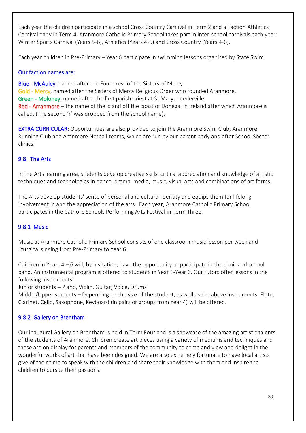Each year the children participate in a school Cross Country Carnival in Term 2 and a Faction Athletics Carnival early in Term 4. Aranmore Catholic Primary School takes part in inter-school carnivals each year: Winter Sports Carnival (Years 5-6), Athletics (Years 4-6) and Cross Country (Years 4-6).

Each year children in Pre-Primary – Year 6 participate in swimming lessons organised by State Swim.

# Our faction names are:

Blue - McAuley, named after the Foundress of the Sisters of Mercy. Gold - Mercy, named after the Sisters of Mercy Religious Order who founded Aranmore. Green - Moloney, named after the first parish priest at St Marys Leederville. Red - Arranmore – the name of the island off the coast of Donegal in Ireland after which Aranmore is called. (The second 'r' was dropped from the school name).

EXTRA CURRICULAR: Opportunities are also provided to join the Aranmore Swim Club, Aranmore Running Club and Aranmore Netball teams, which are run by our parent body and after School Soccer clinics.

# 9.8 The Arts

In the Arts learning area, students develop creative skills, critical appreciation and knowledge of artistic techniques and technologies in dance, drama, media, music, visual arts and combinations of art forms.

The Arts develop students' sense of personal and cultural identity and equips them for lifelong involvement in and the appreciation of the arts. Each year, Aranmore Catholic Primary School participates in the Catholic Schools Performing Arts Festival in Term Three.

# 9.8.1 Music

Music at Aranmore Catholic Primary School consists of one classroom music lesson per week and liturgical singing from Pre-Primary to Year 6.

Children in Years 4 – 6 will, by invitation, have the opportunity to participate in the choir and school band. An instrumental program is offered to students in Year 1-Year 6. Our tutors offer lessons in the following instruments:

Junior students – Piano, Violin, Guitar, Voice, Drums

Middle/Upper students – Depending on the size of the student, as well as the above instruments, Flute, Clarinet, Cello, Saxophone, Keyboard (in pairs or groups from Year 4) will be offered.

# 9.8.2 Gallery on Brentham

Our inaugural Gallery on Brentham is held in Term Four and is a showcase of the amazing artistic talents of the students of Aranmore. Children create art pieces using a variety of mediums and techniques and these are on display for parents and members of the community to come and view and delight in the wonderful works of art that have been designed. We are also extremely fortunate to have local artists give of their time to speak with the children and share their knowledge with them and inspire the children to pursue their passions.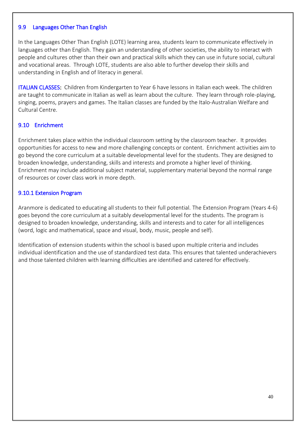#### 9.9 Languages Other Than English

In the Languages Other Than English (LOTE) learning area, students learn to communicate effectively in languages other than English. They gain an understanding of other societies, the ability to interact with people and cultures other than their own and practical skills which they can use in future social, cultural and vocational areas. Through LOTE, students are also able to further develop their skills and understanding in English and of literacy in general.

ITALIAN CLASSES: Children from Kindergarten to Year 6 have lessons in Italian each week. The children are taught to communicate in Italian as well as learn about the culture. They learn through role-playing, singing, poems, prayers and games. The Italian classes are funded by the Italo-Australian Welfare and Cultural Centre.

# 9.10 Enrichment

Enrichment takes place within the individual classroom setting by the classroom teacher. It provides opportunities for access to new and more challenging concepts or content. Enrichment activities aim to go beyond the core curriculum at a suitable developmental level for the students. They are designed to broaden knowledge, understanding, skills and interests and promote a higher level of thinking. Enrichment may include additional subject material, supplementary material beyond the normal range of resources or cover class work in more depth.

#### 9.10.1 Extension Program

Aranmore is dedicated to educating all students to their full potential. The Extension Program (Years 4-6) goes beyond the core curriculum at a suitably developmental level for the students. The program is designed to broaden knowledge, understanding, skills and interests and to cater for all intelligences (word, logic and mathematical, space and visual, body, music, people and self).

Identification of extension students within the school is based upon multiple criteria and includes individual identification and the use of standardized test data. This ensures that talented underachievers and those talented children with learning difficulties are identified and catered for effectively.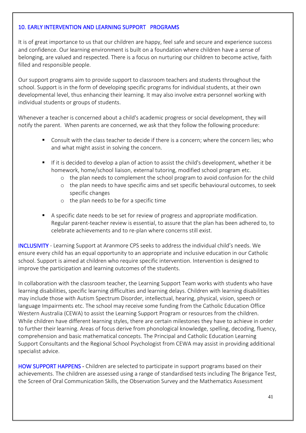### 10. EARLY INTERVENTION AND LEARNING SUPPORT PROGRAMS

It is of great importance to us that our children are happy, feel safe and secure and experience success and confidence. Our learning environment is built on a foundation where children have a sense of belonging, are valued and respected. There is a focus on nurturing our children to become active, faith filled and responsible people.

Our support programs aim to provide support to classroom teachers and students throughout the school. Support is in the form of developing specific programs for individual students, at their own developmental level, thus enhancing their learning. It may also involve extra personnel working with individual students or groups of students.

Whenever a teacher is concerned about a child's academic progress or social development, they will notify the parent. When parents are concerned, we ask that they follow the following procedure:

- Consult with the class teacher to decide if there is a concern; where the concern lies; who and what might assist in solving the concern.
- If it is decided to develop a plan of action to assist the child's development, whether it be homework, home/school liaison, external tutoring, modified school program etc.
	- o the plan needs to complement the school program to avoid confusion for the child
	- o the plan needs to have specific aims and set specific behavioural outcomes, to seek specific changes
	- o the plan needs to be for a specific time
- A specific date needs to be set for review of progress and appropriate modification. Regular parent-teacher review is essential, to assure that the plan has been adhered to, to celebrate achievements and to re-plan where concerns still exist.

INCLUSIVITY - Learning Support at Aranmore CPS seeks to address the individual child's needs. We ensure every child has an equal opportunity to an appropriate and inclusive education in our Catholic school. Support is aimed at children who require specific intervention. Intervention is designed to improve the participation and learning outcomes of the students.

In collaboration with the classroom teacher, the Learning Support Team works with students who have learning disabilities, specific learning difficulties and learning delays. Children with learning disabilities may include those with Autism Spectrum Disorder, intellectual, hearing, physical, vision, speech or language Impairments etc. The school may receive some funding from the Catholic Education Office Western Australia (CEWA) to assist the Learning Support Program or resources from the children. While children have different learning styles, there are certain milestones they have to achieve in order to further their learning. Areas of focus derive from phonological knowledge, spelling, decoding, fluency, comprehension and basic mathematical concepts. The Principal and Catholic Education Learning Support Consultants and the Regional School Psychologist from CEWA may assist in providing additional specialist advice.

HOW SUPPORT HAPPENS - Children are selected to participate in support programs based on their achievements. The children are assessed using a range of standardised tests including The Brigance Test, the Screen of Oral Communication Skills, the Observation Survey and the Mathematics Assessment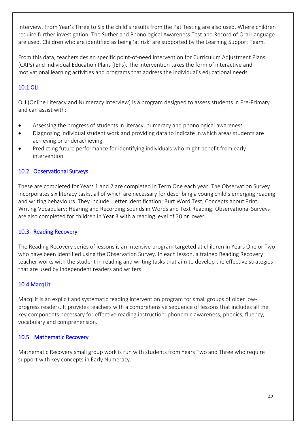Interview. From Year's Three to Six the child's results from the Pat Testing are also used. Where children require further investigation, The Sutherland Phonological Awareness Test and Record of Oral Language are used. Children who are identified as being 'at risk' are supported by the Learning Support Team.

From this data, teachers design specific point-of-need intervention for Curriculum Adjustment Plans (CAPs) and Individual Education Plans (IEPs). The intervention takes the form of interactive and motivational learning activities and programs that address the individual's educational needs.

# 10.1 OLI

OLI (Online Literacy and Numeracy Interview) is a program designed to assess students in Pre-Primary and can assist with:

- Assessing the progress of students in literacy, numeracy and phonological awareness
- Diagnosing individual student work and providing data to indicate in which areas students are achieving or underachieving
- Predicting future performance for identifying individuals who might benefit from early intervention

# 10.2 Observational Surveys

These are completed for Years 1 and 2 are completed in Term One each year. The Observation Survey incorporates six literacy tasks, all of which are necessary for describing a young child's emerging reading and writing behaviours. They include: Letter Identification; Burt Word Test; Concepts about Print; Writing Vocabulary; Hearing and Recording Sounds in Words and Text Reading. Observational Surveys are also completed for children in Year 3 with a reading level of 20 or lower.

# 10.3 Reading Recovery

The Reading Recovery series of lessons is an intensive program targeted at children in Years One or Two who have been identified using the Observation Survey. In each lesson, a trained Reading Recovery teacher works with the student in reading and writing tasks that aim to develop the effective strategies that are used by independent readers and writers.

#### 10.4 MacqLit

MacqLit is an explicit and systematic reading intervention program for small groups of older lowprogress readers. It provides teachers with a comprehensive sequence of lessons that includes all the key components necessary for effective reading instruction: phonemic awareness, phonics, fluency, vocabulary and comprehension.

# 10.5 Mathematic Recovery

Mathematic Recovery small group work is run with students from Years Two and Three who require support with key concepts in Early Numeracy.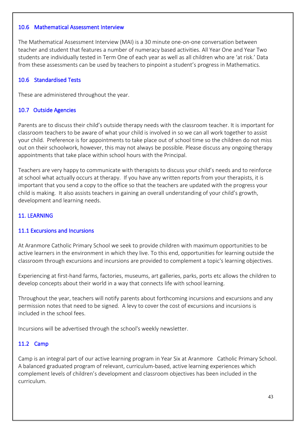#### 10.6 Mathematical Assessment Interview

The Mathematical Assessment Interview (MAI) is a 30 minute one-on-one conversation between teacher and student that features a number of numeracy based activities. All Year One and Year Two students are individually tested in Term One of each year as well as all children who are 'at risk.' Data from these assessments can be used by teachers to pinpoint a student's progress in Mathematics.

#### 10.6 Standardised Tests

These are administered throughout the year.

#### 10.7 Outside Agencies

Parents are to discuss their child's outside therapy needs with the classroom teacher. It is important for classroom teachers to be aware of what your child is involved in so we can all work together to assist your child. Preference is for appointments to take place out of school time so the children do not miss out on their schoolwork, however, this may not always be possible. Please discuss any ongoing therapy appointments that take place within school hours with the Principal.

Teachers are very happy to communicate with therapists to discuss your child's needs and to reinforce at school what actually occurs at therapy. If you have any written reports from your therapists, it is important that you send a copy to the office so that the teachers are updated with the progress your child is making. It also assists teachers in gaining an overall understanding of your child's growth, development and learning needs.

#### 11. LEARNING

#### 11.1 Excursions and Incursions

At Aranmore Catholic Primary School we seek to provide children with maximum opportunities to be active learners in the environment in which they live. To this end, opportunities for learning outside the classroom through excursions and incursions are provided to complement a topic's learning objectives.

Experiencing at first-hand farms, factories, museums, art galleries, parks, ports etc allows the children to develop concepts about their world in a way that connects life with school learning.

Throughout the year, teachers will notify parents about forthcoming incursions and excursions and any permission notes that need to be signed. A levy to cover the cost of excursions and incursions is included in the school fees.

Incursions will be advertised through the school's weekly newsletter.

#### 11.2 Camp

Camp is an integral part of our active learning program in Year Six at Aranmore Catholic Primary School. A balanced graduated program of relevant, curriculum-based, active learning experiences which complement levels of children's development and classroom objectives has been included in the curriculum.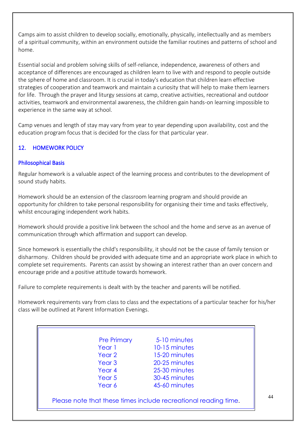Camps aim to assist children to develop socially, emotionally, physically, intellectually and as members of a spiritual community, within an environment outside the familiar routines and patterns of school and home.

Essential social and problem solving skills of self-reliance, independence, awareness of others and acceptance of differences are encouraged as children learn to live with and respond to people outside the sphere of home and classroom. It is crucial in today's education that children learn effective strategies of cooperation and teamwork and maintain a curiosity that will help to make them learners for life. Through the prayer and liturgy sessions at camp, creative activities, recreational and outdoor activities, teamwork and environmental awareness, the children gain hands-on learning impossible to experience in the same way at school.

Camp venues and length of stay may vary from year to year depending upon availability, cost and the education program focus that is decided for the class for that particular year.

# 12. HOMEWORK POLICY

#### Philosophical Basis

Regular homework is a valuable aspect of the learning process and contributes to the development of sound study habits.

Homework should be an extension of the classroom learning program and should provide an opportunity for children to take personal responsibility for organising their time and tasks effectively, whilst encouraging independent work habits.

Homework should provide a positive link between the school and the home and serve as an avenue of communication through which affirmation and support can develop.

Since homework is essentially the child's responsibility, it should not be the cause of family tension or disharmony. Children should be provided with adequate time and an appropriate work place in which to complete set requirements. Parents can assist by showing an interest rather than an over concern and encourage pride and a positive attitude towards homework.

Failure to complete requirements is dealt with by the teacher and parents will be notified.

Homework requirements vary from class to class and the expectations of a particular teacher for his/her class will be outlined at Parent Information Evenings.

| <b>Pre Primary</b> | 5-10 minutes  |
|--------------------|---------------|
| Year 1             | 10-15 minutes |
| Year 2             | 15-20 minutes |
| Year <sub>3</sub>  | 20-25 minutes |
| Year 4             | 25-30 minutes |
| Year 5             | 30-45 minutes |
| Year 6             | 45-60 minutes |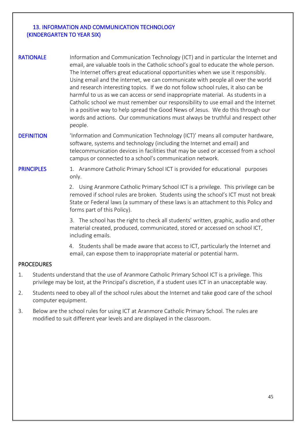#### 13. INFORMATION AND COMMUNICATION TECHNOLOGY (KINDERGARTEN TO YEAR SIX)

- RATIONALE Information and Communication Technology (ICT) and in particular the Internet and email, are valuable tools in the Catholic school's goal to educate the whole person. The Internet offers great educational opportunities when we use it responsibly. Using email and the internet, we can communicate with people all over the world and research interesting topics. If we do not follow school rules, it also can be harmful to us as we can access or send inappropriate material. As students in a Catholic school we must remember our responsibility to use email and the Internet in a positive way to help spread the Good News of Jesus. We do this through our words and actions. Our communications must always be truthful and respect other people.
- DEFINITION 'Information and Communication Technology (ICT)' means all computer hardware, software, systems and technology (including the Internet and email) and telecommunication devices in facilities that may be used or accessed from a school campus or connected to a school's communication network.

**PRINCIPLES** 1. Aranmore Catholic Primary School ICT is provided for educational purposes only.

> 2. Using Aranmore Catholic Primary School ICT is a privilege. This privilege can be removed if school rules are broken. Students using the school's ICT must not break State or Federal laws (a summary of these laws is an attachment to this Policy and forms part of this Policy).

> 3. The school has the right to check all students' written, graphic, audio and other material created, produced, communicated, stored or accessed on school ICT, including emails.

4. Students shall be made aware that access to ICT, particularly the Internet and email, can expose them to inappropriate material or potential harm.

#### PROCEDURES

- 1. Students understand that the use of Aranmore Catholic Primary School ICT is a privilege. This privilege may be lost, at the Principal's discretion, if a student uses ICT in an unacceptable way.
- 2. Students need to obey all of the school rules about the Internet and take good care of the school computer equipment.
- 3. Below are the school rules for using ICT at Aranmore Catholic Primary School. The rules are modified to suit different year levels and are displayed in the classroom.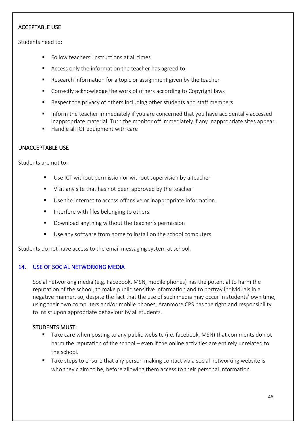#### ACCEPTABLE USE

Students need to:

- Follow teachers' instructions at all times
- Access only the information the teacher has agreed to
- Research information for a topic or assignment given by the teacher
- Correctly acknowledge the work of others according to Copyright laws
- Respect the privacy of others including other students and staff members
- Inform the teacher immediately if you are concerned that you have accidentally accessed inappropriate material. Turn the monitor off immediately if any inappropriate sites appear.
- Handle all ICT equipment with care

# UNACCEPTABLE USE

Students are not to:

- Use ICT without permission or without supervision by a teacher
- Visit any site that has not been approved by the teacher
- Use the Internet to access offensive or inappropriate information.
- Interfere with files belonging to others
- Download anything without the teacher's permission
- Use any software from home to install on the school computers

Students do not have access to the email messaging system at school.

#### 14. USE OF SOCIAL NETWORKING MEDIA

Social networking media (e.g. Facebook, MSN, mobile phones) has the potential to harm the reputation of the school, to make public sensitive information and to portray individuals in a negative manner, so, despite the fact that the use of such media may occur in students' own time, using their own computers and/or mobile phones, Aranmore CPS has the right and responsibility to insist upon appropriate behaviour by all students.

#### STUDENTS MUST:

- Take care when posting to any public website (i.e. facebook, MSN) that comments do not harm the reputation of the school – even if the online activities are entirely unrelated to the school.
- Take steps to ensure that any person making contact via a social networking website is who they claim to be, before allowing them access to their personal information.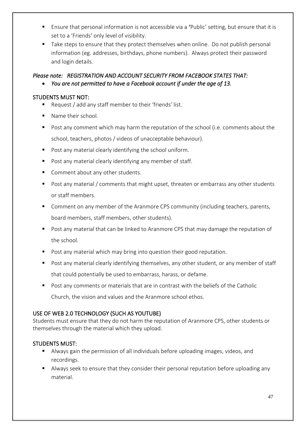- Ensure that personal information is not accessible via a 'Public' setting, but ensure that it is set to a 'Friends' only level of visibility.
- Take steps to ensure that they protect themselves when online. Do not publish personal information (eg. addresses, birthdays, phone numbers). Always protect their password and login details.

# *Please note: REGISTRATION AND ACCOUNT SECURITY FROM FACEBOOK STATES THAT:*  • *You are not permitted to have a Facebook account if under the age of 13.*

# STUDENTS MUST NOT:

- Request / add any staff member to their 'friends' list.
- Name their school.
- Post any comment which may harm the reputation of the school (i.e. comments about the school, teachers, photos / videos of unacceptable behaviour).
- Post any material clearly identifying the school uniform.
- Post any material clearly identifying any member of staff.
- Comment about any other students.
- Post any material / comments that might upset, threaten or embarrass any other students or staff members.
- Comment on any member of the Aranmore CPS community (including teachers, parents, board members, staff members, other students).
- Post any material that can be linked to Aranmore CPS that may damage the reputation of the school.
- Post any material which may bring into question their good reputation.
- Post any material clearly identifying themselves, any other student, or any member of staff that could potentially be used to embarrass, harass, or defame.
- Post any comments or materials that are in contrast with the beliefs of the Catholic Church, the vision and values and the Aranmore school ethos.

# USE OF WEB 2.0 TECHNOLOGY (SUCH AS YOUTUBE)

Students must ensure that they do not harm the reputation of Aranmore CPS, other students or themselves through the material which they upload.

# STUDENTS MUST:

- Always gain the permission of all individuals before uploading images, videos, and recordings.
- Always seek to ensure that they consider their personal reputation before uploading any material.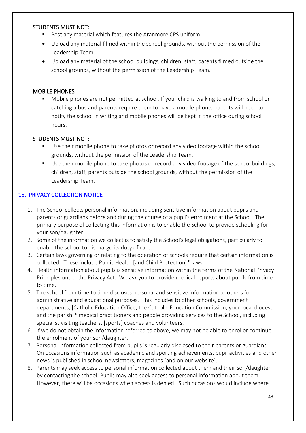#### STUDENTS MUST NOT:

- Post any material which features the Aranmore CPS uniform.
- Upload any material filmed within the school grounds, without the permission of the Leadership Team.
- Upload any material of the school buildings, children, staff, parents filmed outside the school grounds, without the permission of the Leadership Team.

#### MOBILE PHONES

■ Mobile phones are not permitted at school. If your child is walking to and from school or catching a bus and parents require them to have a mobile phone, parents will need to notify the school in writing and mobile phones will be kept in the office during school hours.

# STUDENTS MUST NOT:

- Use their mobile phone to take photos or record any video footage within the school grounds, without the permission of the Leadership Team.
- Use their mobile phone to take photos or record any video footage of the school buildings, children, staff, parents outside the school grounds, without the permission of the Leadership Team.

# 15. PRIVACY COLLECTION NOTICE

- 1. The School collects personal information, including sensitive information about pupils and parents or guardians before and during the course of a pupil's enrolment at the School. The primary purpose of collecting this information is to enable the School to provide schooling for your son/daughter.
- 2. Some of the information we collect is to satisfy the School's legal obligations, particularly to enable the school to discharge its duty of care.
- 3. Certain laws governing or relating to the operation of schools require that certain information is collected. These include Public Health [and Child Protection]\* laws.
- 4. Health information about pupils is sensitive information within the terms of the National Privacy Principles under the Privacy Act. We ask you to provide medical reports about pupils from time to time.
- 5. The school from time to time discloses personal and sensitive information to others for administrative and educational purposes. This includes to other schools, government departments, [Catholic Education Office, the Catholic Education Commission, your local diocese and the parish]\* medical practitioners and people providing services to the School, including specialist visiting teachers, [sports] coaches and volunteers.
- 6. If we do not obtain the information referred to above, we may not be able to enrol or continue the enrolment of your son/daughter.
- 7. Personal information collected from pupils is regularly disclosed to their parents or guardians. On occasions information such as academic and sporting achievements, pupil activities and other news is published in school newsletters, magazines [and on our website].
- 8. Parents may seek access to personal information collected about them and their son/daughter by contacting the school. Pupils may also seek access to personal information about them. However, there will be occasions when access is denied. Such occasions would include where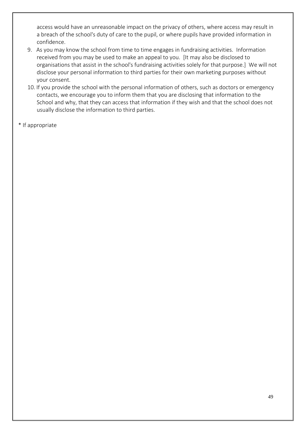access would have an unreasonable impact on the privacy of others, where access may result in a breach of the school's duty of care to the pupil, or where pupils have provided information in confidence.

- 9. As you may know the school from time to time engages in fundraising activities. Information received from you may be used to make an appeal to you. [It may also be disclosed to organisations that assist in the school's fundraising activities solely for that purpose.] We will not disclose your personal information to third parties for their own marketing purposes without your consent.
- 10. If you provide the school with the personal information of others, such as doctors or emergency contacts, we encourage you to inform them that you are disclosing that information to the School and why, that they can access that information if they wish and that the school does not usually disclose the information to third parties.
- \* If appropriate